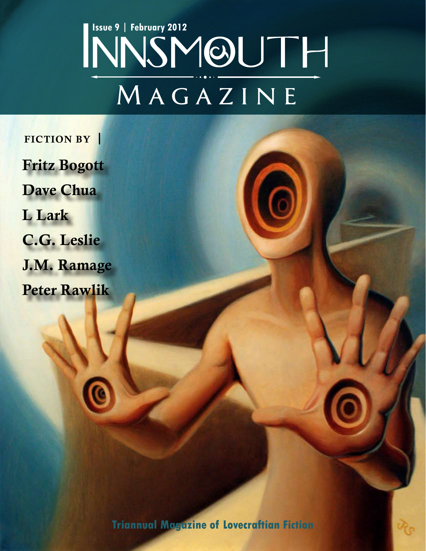# **MAGAZINE ISSUE 9 | February 2012**<br> **INNSMOUTH**

Fritz Bogott Dave Chua L Lark C.G. Leslie J.M. Ramage Peter Rawlik FICTION BY

**Triannual Magazine of Lovecraftian Fiction**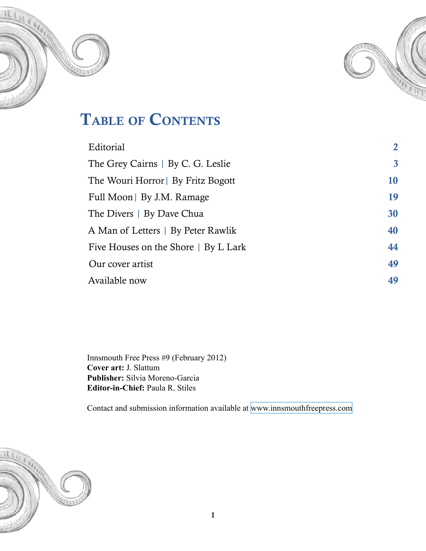



# TABLE OF CONTENTS

| Editorial                            | $\overline{2}$   |
|--------------------------------------|------------------|
| The Grey Cairns   By C. G. Leslie    | $\boldsymbol{3}$ |
| The Wouri Horror   By Fritz Bogott   | 10               |
| Full Moon   By J.M. Ramage           | 19               |
| The Divers   By Dave Chua            | 30               |
| A Man of Letters   By Peter Rawlik   | 40               |
| Five Houses on the Shore   By L Lark | 44               |
| Our cover artist                     | 49               |
| Available now                        | 49               |
|                                      |                  |

Innsmouth Free Press #9 (February 2012) **Cover art:** J. Slattum **Publisher:** Silvia Moreno-Garcia **Editor-in-Chief:** Paula R. Stiles

Contact and submission information available at [www.innsmouthfreepress.com](http://www.innsmouthfreepress.com)

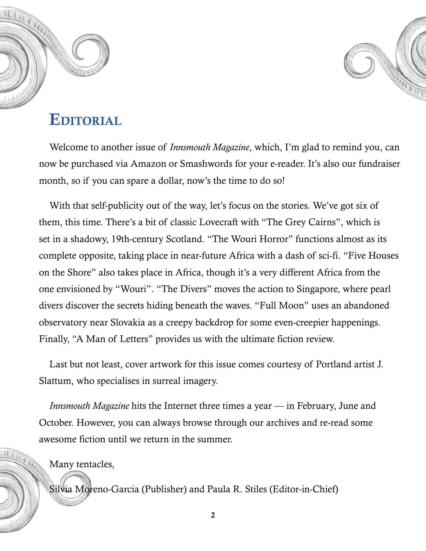<span id="page-2-0"></span>



### **EDITORIAL**

Welcome to another issue of *Innsmouth Magazine*, which, I'm glad to remind you, can now be purchased via Amazon or Smashwords for your e-reader. It's also our fundraiser month, so if you can spare a dollar, now's the time to do so!

With that self-publicity out of the way, let's focus on the stories. We've got six of them, this time. There's a bit of classic Lovecraft with "The Grey Cairns", which is set in a shadowy, 19th-century Scotland. "The Wouri Horror" functions almost as its complete opposite, taking place in near-future Africa with a dash of sci-fi. "Five Houses on the Shore" also takes place in Africa, though it's a very different Africa from the one envisioned by "Wouri". "The Divers" moves the action to Singapore, where pearl divers discover the secrets hiding beneath the waves. "Full Moon" uses an abandoned observatory near Slovakia as a creepy backdrop for some even-creepier happenings. Finally, "A Man of Letters" provides us with the ultimate fiction review.

Last but not least, cover artwork for this issue comes courtesy of Portland artist J. Slattum, who specialises in surreal imagery.

*Innsmouth Magazine* hits the Internet three times a year — in February, June and October. However, you can always browse through our archives and re-read some awesome fiction until we return in the summer.

Many tentacles,

Silvia Moreno-Garcia (Publisher) and Paula R. Stiles (Editor-in-Chief)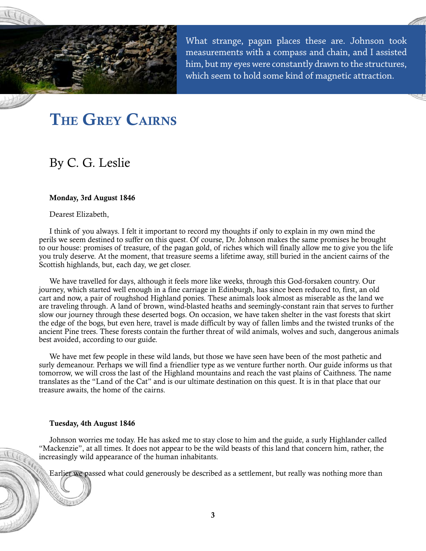<span id="page-3-0"></span>

What strange, pagan places these are. Johnson took measurements with a compass and chain, and I assisted him, but my eyes were constantly drawn to the structures, which seem to hold some kind of magnetic attraction.

# THE GREY CAIRNS

### By C. G. Leslie

#### Monday, 3rd August 1846

Dearest Elizabeth,

I think of you always. I felt it important to record my thoughts if only to explain in my own mind the perils we seem destined to suffer on this quest. Of course, Dr. Johnson makes the same promises he brought to our house: promises of treasure, of the pagan gold, of riches which will finally allow me to give you the life you truly deserve. At the moment, that treasure seems a lifetime away, still buried in the ancient cairns of the Scottish highlands, but, each day, we get closer.

We have travelled for days, although it feels more like weeks, through this God-forsaken country. Our journey, which started well enough in a fine carriage in Edinburgh, has since been reduced to, first, an old cart and now, a pair of roughshod Highland ponies. These animals look almost as miserable as the land we are traveling through. A land of brown, wind-blasted heaths and seemingly-constant rain that serves to further slow our journey through these deserted bogs. On occasion, we have taken shelter in the vast forests that skirt the edge of the bogs, but even here, travel is made difficult by way of fallen limbs and the twisted trunks of the ancient Pine trees. These forests contain the further threat of wild animals, wolves and such, dangerous animals best avoided, according to our guide.

We have met few people in these wild lands, but those we have seen have been of the most pathetic and surly demeanour. Perhaps we will find a friendlier type as we venture further north. Our guide informs us that tomorrow, we will cross the last of the Highland mountains and reach the vast plains of Caithness. The name translates as the "Land of the Cat" and is our ultimate destination on this quest. It is in that place that our treasure awaits, the home of the cairns.

#### Tuesday, 4th August 1846

Johnson worries me today. He has asked me to stay close to him and the guide, a surly Highlander called "Mackenzie", at all times. It does not appear to be the wild beasts of this land that concern him, rather, the increasingly wild appearance of the human inhabitants.

Earlier we passed what could generously be described as a settlement, but really was nothing more than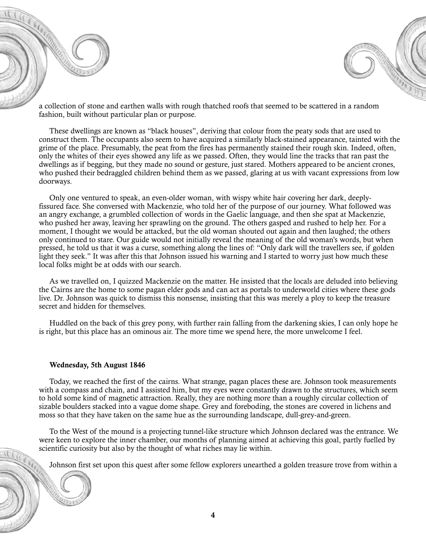



a collection of stone and earthen walls with rough thatched roofs that seemed to be scattered in a random fashion, built without particular plan or purpose.

These dwellings are known as "black houses", deriving that colour from the peaty sods that are used to construct them. The occupants also seem to have acquired a similarly black-stained appearance, tainted with the grime of the place. Presumably, the peat from the fires has permanently stained their rough skin. Indeed, often, only the whites of their eyes showed any life as we passed. Often, they would line the tracks that ran past the dwellings as if begging, but they made no sound or gesture, just stared. Mothers appeared to be ancient crones, who pushed their bedraggled children behind them as we passed, glaring at us with vacant expressions from low doorways.

Only one ventured to speak, an even-older woman, with wispy white hair covering her dark, deeplyfissured face. She conversed with Mackenzie, who told her of the purpose of our journey. What followed was an angry exchange, a grumbled collection of words in the Gaelic language, and then she spat at Mackenzie, who pushed her away, leaving her sprawling on the ground. The others gasped and rushed to help her. For a moment, I thought we would be attacked, but the old woman shouted out again and then laughed; the others only continued to stare. Our guide would not initially reveal the meaning of the old woman's words, but when pressed, he told us that it was a curse, something along the lines of: "Only dark will the travellers see, if golden light they seek." It was after this that Johnson issued his warning and I started to worry just how much these local folks might be at odds with our search.

As we travelled on, I quizzed Mackenzie on the matter. He insisted that the locals are deluded into believing the Cairns are the home to some pagan elder gods and can act as portals to underworld cities where these gods live. Dr. Johnson was quick to dismiss this nonsense, insisting that this was merely a ploy to keep the treasure secret and hidden for themselves.

Huddled on the back of this grey pony, with further rain falling from the darkening skies, I can only hope he is right, but this place has an ominous air. The more time we spend here, the more unwelcome I feel.

#### Wednesday, 5th August 1846

Today, we reached the first of the cairns. What strange, pagan places these are. Johnson took measurements with a compass and chain, and I assisted him, but my eyes were constantly drawn to the structures, which seem to hold some kind of magnetic attraction. Really, they are nothing more than a roughly circular collection of sizable boulders stacked into a vague dome shape. Grey and foreboding, the stones are covered in lichens and moss so that they have taken on the same hue as the surrounding landscape, dull-grey-and-green.

To the West of the mound is a projecting tunnel-like structure which Johnson declared was the entrance. We were keen to explore the inner chamber, our months of planning aimed at achieving this goal, partly fuelled by scientific curiosity but also by the thought of what riches may lie within.

Johnson first set upon this quest after some fellow explorers unearthed a golden treasure trove from within a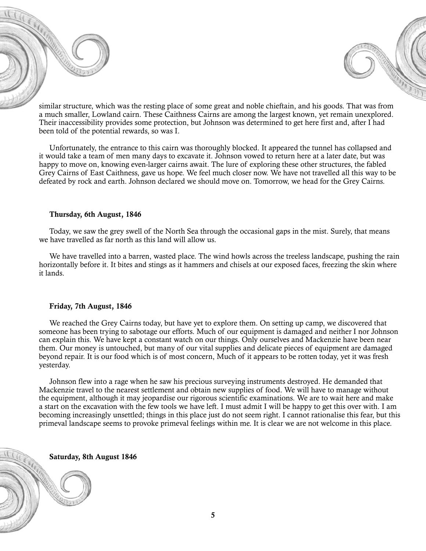similar structure, which was the resting place of some great and noble chieftain, and his goods. That was from a much smaller, Lowland cairn. These Caithness Cairns are among the largest known, yet remain unexplored. Their inaccessibility provides some protection, but Johnson was determined to get here first and, after I had been told of the potential rewards, so was I.

Unfortunately, the entrance to this cairn was thoroughly blocked. It appeared the tunnel has collapsed and it would take a team of men many days to excavate it. Johnson vowed to return here at a later date, but was happy to move on, knowing even-larger cairns await. The lure of exploring these other structures, the fabled Grey Cairns of East Caithness, gave us hope. We feel much closer now. We have not travelled all this way to be defeated by rock and earth. Johnson declared we should move on. Tomorrow, we head for the Grey Cairns.

#### Thursday, 6th August, 1846

Today, we saw the grey swell of the North Sea through the occasional gaps in the mist. Surely, that means we have travelled as far north as this land will allow us.

We have travelled into a barren, wasted place. The wind howls across the treeless landscape, pushing the rain horizontally before it. It bites and stings as it hammers and chisels at our exposed faces, freezing the skin where it lands.

#### Friday, 7th August, 1846

We reached the Grey Cairns today, but have yet to explore them. On setting up camp, we discovered that someone has been trying to sabotage our efforts. Much of our equipment is damaged and neither I nor Johnson can explain this. We have kept a constant watch on our things. Only ourselves and Mackenzie have been near them. Our money is untouched, but many of our vital supplies and delicate pieces of equipment are damaged beyond repair. It is our food which is of most concern, Much of it appears to be rotten today, yet it was fresh yesterday.

Johnson flew into a rage when he saw his precious surveying instruments destroyed. He demanded that Mackenzie travel to the nearest settlement and obtain new supplies of food. We will have to manage without the equipment, although it may jeopardise our rigorous scientific examinations. We are to wait here and make a start on the excavation with the few tools we have left. I must admit I will be happy to get this over with. I am becoming increasingly unsettled; things in this place just do not seem right. I cannot rationalise this fear, but this primeval landscape seems to provoke primeval feelings within me. It is clear we are not welcome in this place.

Saturday, 8th August 1846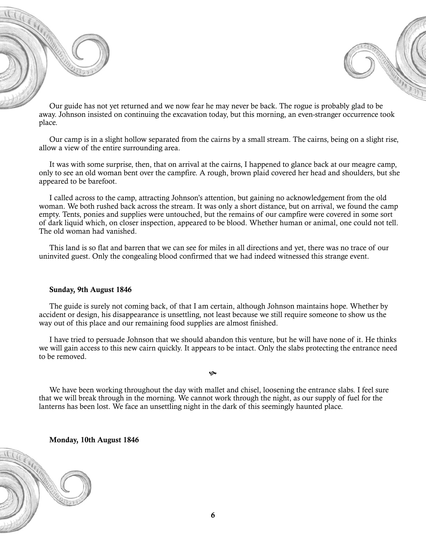Our guide has not yet returned and we now fear he may never be back. The rogue is probably glad to be away. Johnson insisted on continuing the excavation today, but this morning, an even-stranger occurrence took place.

Our camp is in a slight hollow separated from the cairns by a small stream. The cairns, being on a slight rise, allow a view of the entire surrounding area.

It was with some surprise, then, that on arrival at the cairns, I happened to glance back at our meagre camp, only to see an old woman bent over the campfire. A rough, brown plaid covered her head and shoulders, but she appeared to be barefoot.

I called across to the camp, attracting Johnson's attention, but gaining no acknowledgement from the old woman. We both rushed back across the stream. It was only a short distance, but on arrival, we found the camp empty. Tents, ponies and supplies were untouched, but the remains of our campfire were covered in some sort of dark liquid which, on closer inspection, appeared to be blood. Whether human or animal, one could not tell. The old woman had vanished.

This land is so flat and barren that we can see for miles in all directions and yet, there was no trace of our uninvited guest. Only the congealing blood confirmed that we had indeed witnessed this strange event.

#### Sunday, 9th August 1846

The guide is surely not coming back, of that I am certain, although Johnson maintains hope. Whether by accident or design, his disappearance is unsettling, not least because we still require someone to show us the way out of this place and our remaining food supplies are almost finished.

I have tried to persuade Johnson that we should abandon this venture, but he will have none of it. He thinks we will gain access to this new cairn quickly. It appears to be intact. Only the slabs protecting the entrance need to be removed.

We have been working throughout the day with mallet and chisel, loosening the entrance slabs. I feel sure that we will break through in the morning. We cannot work through the night, as our supply of fuel for the lanterns has been lost. We face an unsettling night in the dark of this seemingly haunted place.

 $\infty$ 

Monday, 10th August 1846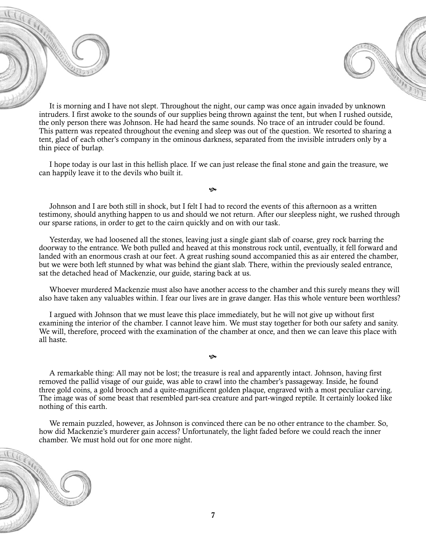It is morning and I have not slept. Throughout the night, our camp was once again invaded by unknown intruders. I first awoke to the sounds of our supplies being thrown against the tent, but when I rushed outside, the only person there was Johnson. He had heard the same sounds. No trace of an intruder could be found. This pattern was repeated throughout the evening and sleep was out of the question. We resorted to sharing a tent, glad of each other's company in the ominous darkness, separated from the invisible intruders only by a thin piece of burlap.

I hope today is our last in this hellish place. If we can just release the final stone and gain the treasure, we can happily leave it to the devils who built it.

 $\infty$ 

Johnson and I are both still in shock, but I felt I had to record the events of this afternoon as a written testimony, should anything happen to us and should we not return. After our sleepless night, we rushed through our sparse rations, in order to get to the cairn quickly and on with our task.

Yesterday, we had loosened all the stones, leaving just a single giant slab of coarse, grey rock barring the doorway to the entrance. We both pulled and heaved at this monstrous rock until, eventually, it fell forward and landed with an enormous crash at our feet. A great rushing sound accompanied this as air entered the chamber, but we were both left stunned by what was behind the giant slab. There, within the previously sealed entrance, sat the detached head of Mackenzie, our guide, staring back at us.

Whoever murdered Mackenzie must also have another access to the chamber and this surely means they will also have taken any valuables within. I fear our lives are in grave danger. Has this whole venture been worthless?

I argued with Johnson that we must leave this place immediately, but he will not give up without first examining the interior of the chamber. I cannot leave him. We must stay together for both our safety and sanity. We will, therefore, proceed with the examination of the chamber at once, and then we can leave this place with all haste.

A remarkable thing: All may not be lost; the treasure is real and apparently intact. Johnson, having first removed the pallid visage of our guide, was able to crawl into the chamber's passageway. Inside, he found three gold coins, a gold brooch and a quite-magnificent golden plaque, engraved with a most peculiar carving. The image was of some beast that resembled part-sea creature and part-winged reptile. It certainly looked like nothing of this earth.

Q

We remain puzzled, however, as Johnson is convinced there can be no other entrance to the chamber. So, how did Mackenzie's murderer gain access? Unfortunately, the light faded before we could reach the inner chamber. We must hold out for one more night.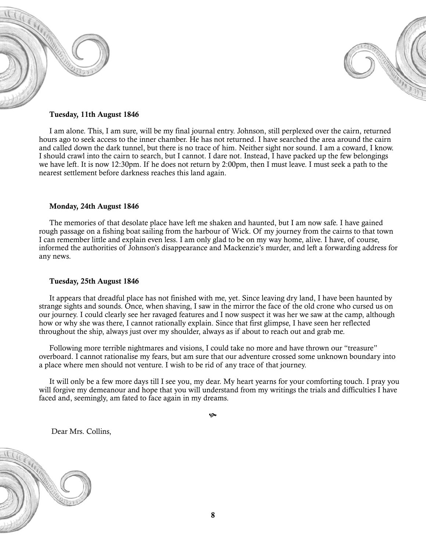



#### Tuesday, 11th August 1846

I am alone. This, I am sure, will be my final journal entry. Johnson, still perplexed over the cairn, returned hours ago to seek access to the inner chamber. He has not returned. I have searched the area around the cairn and called down the dark tunnel, but there is no trace of him. Neither sight nor sound. I am a coward, I know. I should crawl into the cairn to search, but I cannot. I dare not. Instead, I have packed up the few belongings we have left. It is now 12:30pm. If he does not return by 2:00pm, then I must leave. I must seek a path to the nearest settlement before darkness reaches this land again.

#### Monday, 24th August 1846

The memories of that desolate place have left me shaken and haunted, but I am now safe. I have gained rough passage on a fishing boat sailing from the harbour of Wick. Of my journey from the cairns to that town I can remember little and explain even less. I am only glad to be on my way home, alive. I have, of course, informed the authorities of Johnson's disappearance and Mackenzie's murder, and left a forwarding address for any news.

#### Tuesday, 25th August 1846

It appears that dreadful place has not finished with me, yet. Since leaving dry land, I have been haunted by strange sights and sounds. Once, when shaving, I saw in the mirror the face of the old crone who cursed us on our journey. I could clearly see her ravaged features and I now suspect it was her we saw at the camp, although how or why she was there, I cannot rationally explain. Since that first glimpse, I have seen her reflected throughout the ship, always just over my shoulder, always as if about to reach out and grab me.

Following more terrible nightmares and visions, I could take no more and have thrown our "treasure" overboard. I cannot rationalise my fears, but am sure that our adventure crossed some unknown boundary into a place where men should not venture. I wish to be rid of any trace of that journey.

It will only be a few more days till I see you, my dear. My heart yearns for your comforting touch. I pray you will forgive my demeanour and hope that you will understand from my writings the trials and difficulties I have faced and, seemingly, am fated to face again in my dreams.

١Ģ

Dear Mrs. Collins,

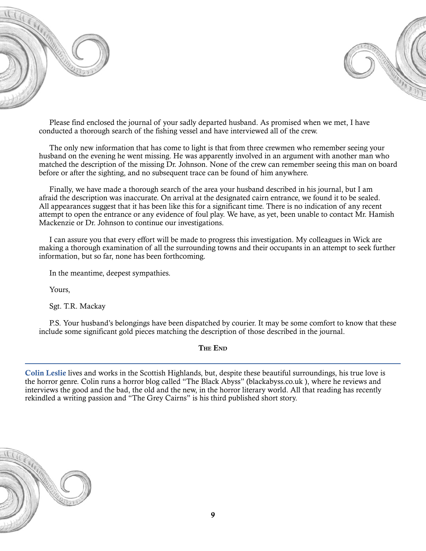



Please find enclosed the journal of your sadly departed husband. As promised when we met, I have conducted a thorough search of the fishing vessel and have interviewed all of the crew.

The only new information that has come to light is that from three crewmen who remember seeing your husband on the evening he went missing. He was apparently involved in an argument with another man who matched the description of the missing Dr. Johnson. None of the crew can remember seeing this man on board before or after the sighting, and no subsequent trace can be found of him anywhere.

Finally, we have made a thorough search of the area your husband described in his journal, but I am afraid the description was inaccurate. On arrival at the designated cairn entrance, we found it to be sealed. All appearances suggest that it has been like this for a significant time. There is no indication of any recent attempt to open the entrance or any evidence of foul play. We have, as yet, been unable to contact Mr. Hamish Mackenzie or Dr. Johnson to continue our investigations.

I can assure you that every effort will be made to progress this investigation. My colleagues in Wick are making a thorough examination of all the surrounding towns and their occupants in an attempt to seek further information, but so far, none has been forthcoming.

In the meantime, deepest sympathies.

Yours,

Sgt. T.R. Mackay

P.S. Your husband's belongings have been dispatched by courier. It may be some comfort to know that these include some significant gold pieces matching the description of those described in the journal.

#### The End

Colin Leslie lives and works in the Scottish Highlands, but, despite these beautiful surroundings, his true love is the horror genre. Colin runs a horror blog called "The Black Abyss" (blackabyss.co.uk ), where he reviews and interviews the good and the bad, the old and the new, in the horror literary world. All that reading has recently rekindled a writing passion and "The Grey Cairns" is his third published short story.

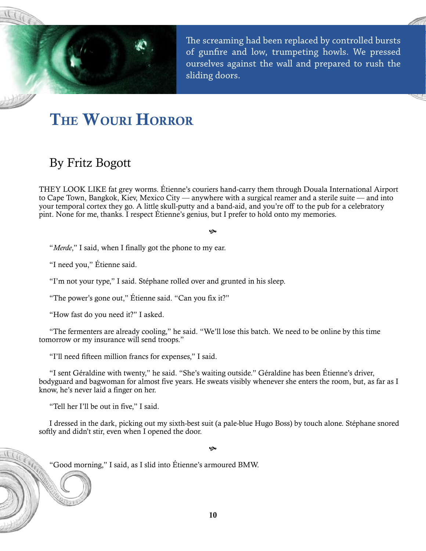<span id="page-10-0"></span>

The screaming had been replaced by controlled bursts of gunfire and low, trumpeting howls. We pressed ourselves against the wall and prepared to rush the sliding doors.

# The Wouri Horror

### By Fritz Bogott

They look like fat grey worms. Étienne's couriers hand-carry them through Douala International Airport to Cape Town, Bangkok, Kiev, Mexico City — anywhere with a surgical reamer and a sterile suite — and into your temporal cortex they go. A little skull-putty and a band-aid, and you're off to the pub for a celebratory pint. None for me, thanks. I respect Étienne's genius, but I prefer to hold onto my memories.

#### چە

"*Merde*," I said, when I finally got the phone to my ear.

"I need you," Étienne said.

"I'm not your type," I said. Stéphane rolled over and grunted in his sleep.

"The power's gone out," Étienne said. "Can you fix it?"

"How fast do you need it?" I asked.

"The fermenters are already cooling," he said. "We'll lose this batch. We need to be online by this time tomorrow or my insurance will send troops."

"I'll need fifteen million francs for expenses," I said.

"I sent Géraldine with twenty," he said. "She's waiting outside." Géraldine has been Étienne's driver, bodyguard and bagwoman for almost five years. He sweats visibly whenever she enters the room, but, as far as I know, he's never laid a finger on her.

"Tell her I'll be out in five," I said.

I dressed in the dark, picking out my sixth-best suit (a pale-blue Hugo Boss) by touch alone. Stéphane snored softly and didn't stir, even when I opened the door.

چە

"Good morning," I said, as I slid into Étienne's armoured BMW.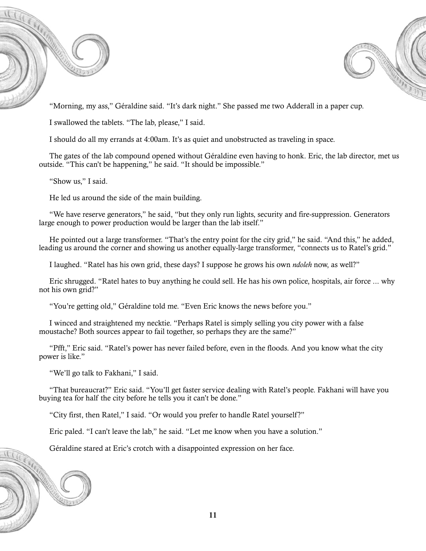



"Morning, my ass," Géraldine said. "It's dark night." She passed me two Adderall in a paper cup.

I swallowed the tablets. "The lab, please," I said.

I should do all my errands at 4:00am. It's as quiet and unobstructed as traveling in space.

The gates of the lab compound opened without Géraldine even having to honk. Eric, the lab director, met us outside. "This can't be happening," he said. "It should be impossible."

"Show us," I said.

He led us around the side of the main building.

"We have reserve generators," he said, "but they only run lights, security and fire-suppression. Generators large enough to power production would be larger than the lab itself."

He pointed out a large transformer. "That's the entry point for the city grid," he said. "And this," he added, leading us around the corner and showing us another equally-large transformer, "connects us to Ratel's grid."

I laughed. "Ratel has his own grid, these days? I suppose he grows his own *ndoleh* now, as well?"

Eric shrugged. "Ratel hates to buy anything he could sell. He has his own police, hospitals, air force ... why not his own grid?"

"You're getting old," Géraldine told me. "Even Eric knows the news before you."

I winced and straightened my necktie. "Perhaps Ratel is simply selling you city power with a false moustache? Both sources appear to fail together, so perhaps they are the same?"

"Pfft," Eric said. "Ratel's power has never failed before, even in the floods. And you know what the city power is like."

"We'll go talk to Fakhani," I said.

"That bureaucrat?" Eric said. "You'll get faster service dealing with Ratel's people. Fakhani will have you buying tea for half the city before he tells you it can't be done."

"City first, then Ratel," I said. "Or would you prefer to handle Ratel yourself?"

Eric paled. "I can't leave the lab," he said. "Let me know when you have a solution."

Géraldine stared at Eric's crotch with a disappointed expression on her face.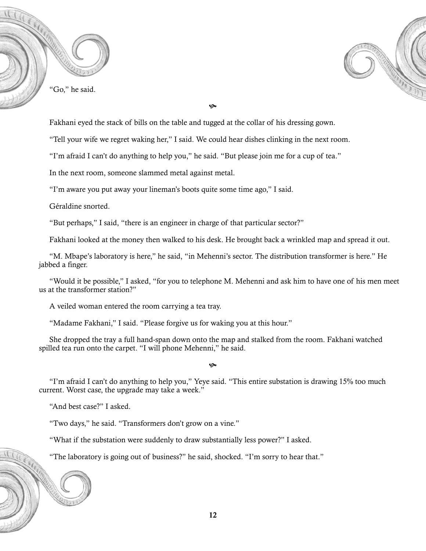



**G** 

Fakhani eyed the stack of bills on the table and tugged at the collar of his dressing gown.

"Tell your wife we regret waking her," I said. We could hear dishes clinking in the next room.

"I'm afraid I can't do anything to help you," he said. "But please join me for a cup of tea."

In the next room, someone slammed metal against metal.

"I'm aware you put away your lineman's boots quite some time ago," I said.

Géraldine snorted.

"But perhaps," I said, "there is an engineer in charge of that particular sector?"

Fakhani looked at the money then walked to his desk. He brought back a wrinkled map and spread it out.

"M. Mbape's laboratory is here," he said, "in Mehenni's sector. The distribution transformer is here." He jabbed a finger.

"Would it be possible," I asked, "for you to telephone M. Mehenni and ask him to have one of his men meet us at the transformer station?"

A veiled woman entered the room carrying a tea tray.

"Madame Fakhani," I said. "Please forgive us for waking you at this hour."

She dropped the tray a full hand-span down onto the map and stalked from the room. Fakhani watched spilled tea run onto the carpet. "I will phone Mehenni," he said.

چە

"I'm afraid I can't do anything to help you," Yeye said. "This entire substation is drawing 15% too much current. Worst case, the upgrade may take a week."

"And best case?" I asked.

"Two days," he said. "Transformers don't grow on a vine."

"What if the substation were suddenly to draw substantially less power?" I asked.

"The laboratory is going out of business?" he said, shocked. "I'm sorry to hear that."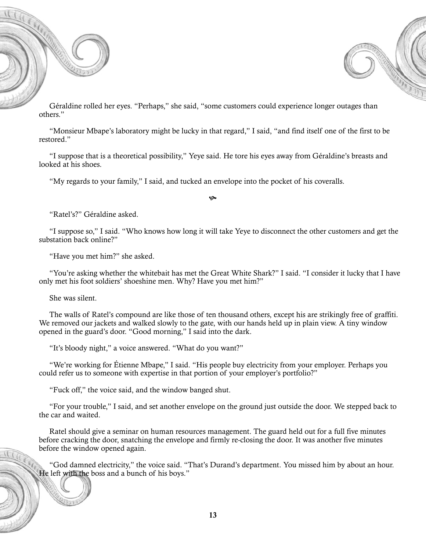



Géraldine rolled her eyes. "Perhaps," she said, "some customers could experience longer outages than others."

"Monsieur Mbape's laboratory might be lucky in that regard," I said, "and find itself one of the first to be restored."

"I suppose that is a theoretical possibility," Yeye said. He tore his eyes away from Géraldine's breasts and looked at his shoes.

"My regards to your family," I said, and tucked an envelope into the pocket of his coveralls.

چە

"Ratel's?" Géraldine asked.

"I suppose so," I said. "Who knows how long it will take Yeye to disconnect the other customers and get the substation back online?"

"Have you met him?" she asked.

"You're asking whether the whitebait has met the Great White Shark?" I said. "I consider it lucky that I have only met his foot soldiers' shoeshine men. Why? Have you met him?"

She was silent.

The walls of Ratel's compound are like those of ten thousand others, except his are strikingly free of graffiti. We removed our jackets and walked slowly to the gate, with our hands held up in plain view. A tiny window opened in the guard's door. "Good morning," I said into the dark.

"It's bloody night," a voice answered. "What do you want?"

"We're working for Étienne Mbape," I said. "His people buy electricity from your employer. Perhaps you could refer us to someone with expertise in that portion of your employer's portfolio?"

"Fuck off," the voice said, and the window banged shut.

"For your trouble," I said, and set another envelope on the ground just outside the door. We stepped back to the car and waited.

Ratel should give a seminar on human resources management. The guard held out for a full five minutes before cracking the door, snatching the envelope and firmly re-closing the door. It was another five minutes before the window opened again.

"God damned electricity," the voice said. "That's Durand's department. You missed him by about an hour. He left with the boss and a bunch of his boys."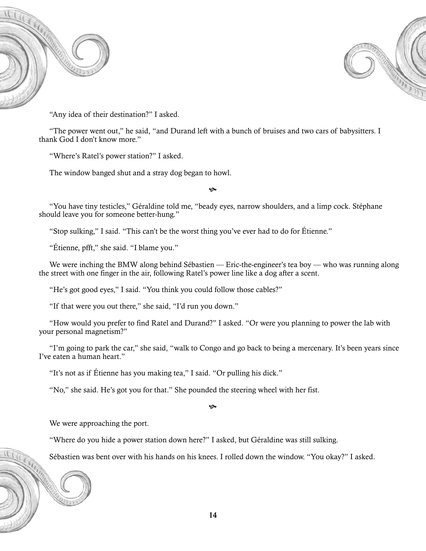



"Any idea of their destination?" I asked.

"The power went out," he said, "and Durand left with a bunch of bruises and two cars of babysitters. I thank God I don't know more."

"Where's Ratel's power station?" I asked.

The window banged shut and a stray dog began to howl.

چە

"You have tiny testicles," Géraldine told me, "beady eyes, narrow shoulders, and a limp cock. Stéphane should leave you for someone better-hung."

"Stop sulking," I said. "This can't be the worst thing you've ever had to do for Étienne."

"Étienne, pfft," she said. "I blame you."

We were inching the BMW along behind Sébastien — Eric-the-engineer's tea boy — who was running along the street with one finger in the air, following Ratel's power line like a dog after a scent.

"He's got good eyes," I said. "You think you could follow those cables?"

"If that were you out there," she said, "I'd run you down."

"How would you prefer to find Ratel and Durand?" I asked. "Or were you planning to power the lab with your personal magnetism?"

"I'm going to park the car," she said, "walk to Congo and go back to being a mercenary. It's been years since I've eaten a human heart."

"It's not as if Étienne has you making tea," I said. "Or pulling his dick."

"No," she said. He's got you for that." She pounded the steering wheel with her fist.

 $\ddot{\mathbf{c}}$ 

We were approaching the port.

"Where do you hide a power station down here?" I asked, but Géraldine was still sulking.

Sébastien was bent over with his hands on his knees. I rolled down the window. "You okay?" I asked.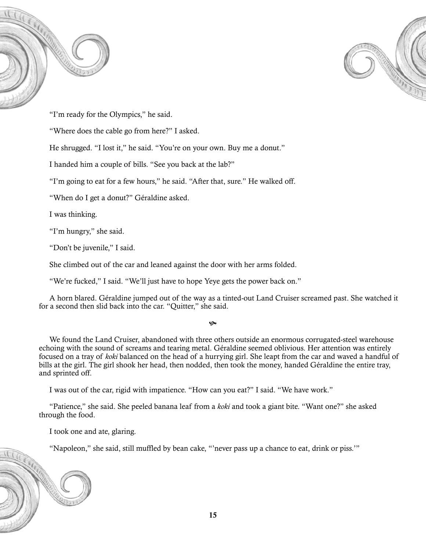



"I'm ready for the Olympics," he said.

"Where does the cable go from here?" I asked.

He shrugged. "I lost it," he said. "You're on your own. Buy me a donut."

I handed him a couple of bills. "See you back at the lab?"

"I'm going to eat for a few hours," he said. "After that, sure." He walked off.

"When do I get a donut?" Géraldine asked.

I was thinking.

"I'm hungry," she said.

"Don't be juvenile," I said.

She climbed out of the car and leaned against the door with her arms folded.

"We're fucked," I said. "We'll just have to hope Yeye gets the power back on."

A horn blared. Géraldine jumped out of the way as a tinted-out Land Cruiser screamed past. She watched it for a second then slid back into the car. "Quitter," she said.

#### ھ

We found the Land Cruiser, abandoned with three others outside an enormous corrugated-steel warehouse echoing with the sound of screams and tearing metal. Géraldine seemed oblivious. Her attention was entirely focused on a tray of *koki* balanced on the head of a hurrying girl. She leapt from the car and waved a handful of bills at the girl. The girl shook her head, then nodded, then took the money, handed Géraldine the entire tray, and sprinted off.

I was out of the car, rigid with impatience. "How can you eat?" I said. "We have work."

"Patience," she said. She peeled banana leaf from a *koki* and took a giant bite. "Want one?" she asked through the food.

I took one and ate, glaring.

"Napoleon," she said, still muffled by bean cake, "'never pass up a chance to eat, drink or piss.'"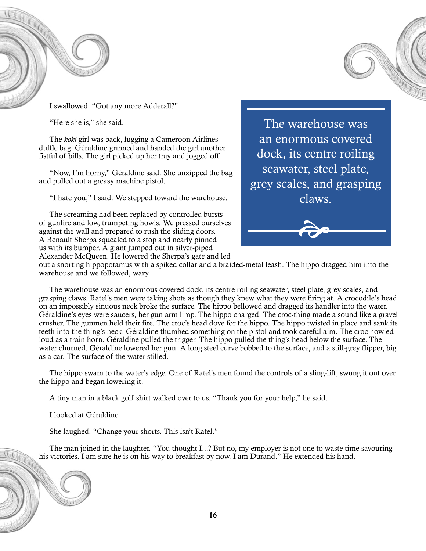



I swallowed. "Got any more Adderall?"

"Here she is," she said.

The *koki* girl was back, lugging a Cameroon Airlines duffle bag. Géraldine grinned and handed the girl another fistful of bills. The girl picked up her tray and jogged off.

"Now, I'm horny," Géraldine said. She unzipped the bag and pulled out a greasy machine pistol.

"I hate you," I said. We stepped toward the warehouse.

The screaming had been replaced by controlled bursts of gunfire and low, trumpeting howls. We pressed ourselves against the wall and prepared to rush the sliding doors. A Renault Sherpa squealed to a stop and nearly pinned us with its bumper. A giant jumped out in silver-piped Alexander McQueen. He lowered the Sherpa's gate and led

The warehouse was an enormous covered dock, its centre roiling seawater, steel plate, grey scales, and grasping claws.



out a snorting hippopotamus with a spiked collar and a braided-metal leash. The hippo dragged him into the warehouse and we followed, wary.

The warehouse was an enormous covered dock, its centre roiling seawater, steel plate, grey scales, and grasping claws. Ratel's men were taking shots as though they knew what they were firing at. A crocodile's head on an impossibly sinuous neck broke the surface. The hippo bellowed and dragged its handler into the water. Géraldine's eyes were saucers, her gun arm limp. The hippo charged. The croc-thing made a sound like a gravel crusher. The gunmen held their fire. The croc's head dove for the hippo. The hippo twisted in place and sank its teeth into the thing's neck. Géraldine thumbed something on the pistol and took careful aim. The croc howled loud as a train horn. Géraldine pulled the trigger. The hippo pulled the thing's head below the surface. The water churned. Géraldine lowered her gun. A long steel curve bobbed to the surface, and a still-grey flipper, big as a car. The surface of the water stilled.

The hippo swam to the water's edge. One of Ratel's men found the controls of a sling-lift, swung it out over the hippo and began lowering it.

A tiny man in a black golf shirt walked over to us. "Thank you for your help," he said.

I looked at Géraldine.

She laughed. "Change your shorts. This isn't Ratel."

The man joined in the laughter. "You thought I...? But no, my employer is not one to waste time savouring his victories. I am sure he is on his way to breakfast by now. I am Durand." He extended his hand.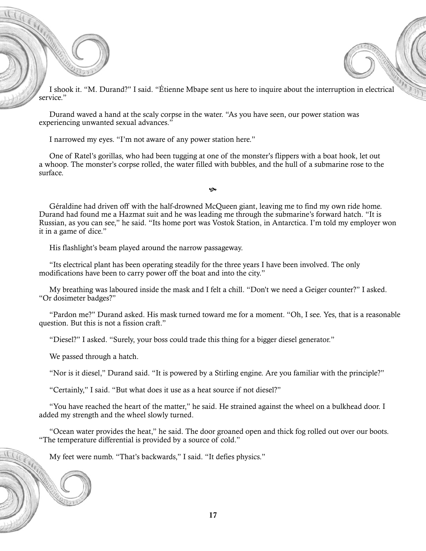I shook it. "M. Durand?" I said. "Étienne Mbape sent us here to inquire about the interruption in electrical service."

Durand waved a hand at the scaly corpse in the water. "As you have seen, our power station was experiencing unwanted sexual advances."

I narrowed my eyes. "I'm not aware of any power station here."

One of Ratel's gorillas, who had been tugging at one of the monster's flippers with a boat hook, let out a whoop. The monster's corpse rolled, the water filled with bubbles, and the hull of a submarine rose to the surface.

 $\infty$ 

Géraldine had driven off with the half-drowned McQueen giant, leaving me to find my own ride home. Durand had found me a Hazmat suit and he was leading me through the submarine's forward hatch. "It is Russian, as you can see," he said. "Its home port was Vostok Station, in Antarctica. I'm told my employer won it in a game of dice."

His flashlight's beam played around the narrow passageway.

"Its electrical plant has been operating steadily for the three years I have been involved. The only modifications have been to carry power off the boat and into the city."

My breathing was laboured inside the mask and I felt a chill. "Don't we need a Geiger counter?" I asked. "Or dosimeter badges?"

"Pardon me?" Durand asked. His mask turned toward me for a moment. "Oh, I see. Yes, that is a reasonable question. But this is not a fission craft."

"Diesel?" I asked. "Surely, your boss could trade this thing for a bigger diesel generator."

We passed through a hatch.

"Nor is it diesel," Durand said. "It is powered by a Stirling engine. Are you familiar with the principle?"

"Certainly," I said. "But what does it use as a heat source if not diesel?"

"You have reached the heart of the matter," he said. He strained against the wheel on a bulkhead door. I added my strength and the wheel slowly turned.

"Ocean water provides the heat," he said. The door groaned open and thick fog rolled out over our boots. "The temperature differential is provided by a source of cold."

My feet were numb. "That's backwards," I said. "It defies physics."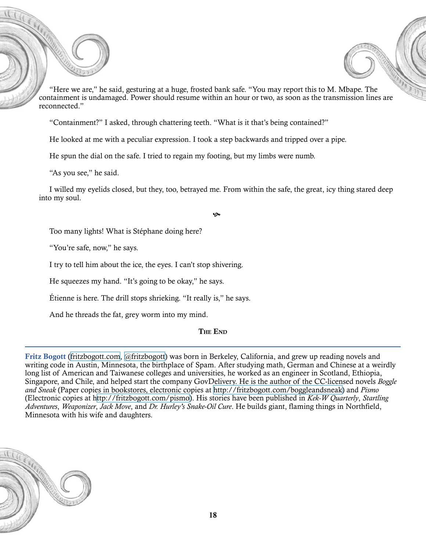

"Containment?" I asked, through chattering teeth. "What is it that's being contained?"

He looked at me with a peculiar expression. I took a step backwards and tripped over a pipe.

He spun the dial on the safe. I tried to regain my footing, but my limbs were numb.

"As you see," he said.

I willed my eyelids closed, but they, too, betrayed me. From within the safe, the great, icy thing stared deep into my soul.

 $\bullet$ 

Too many lights! What is Stéphane doing here?

"You're safe, now," he says.

I try to tell him about the ice, the eyes. I can't stop shivering.

He squeezes my hand. "It's going to be okay," he says.

Étienne is here. The drill stops shrieking. "It really is," he says.

And he threads the fat, grey worm into my mind.

The End

Fritz Bogott [\(fritzbogott.com,](http://fritzbogott.com/) [@fritzbogott](http://fritzbogott.com/)) was born in Berkeley, California, and grew up reading novels and writing code in Austin, Minnesota, the birthplace of Spam. After studying math, German and Chinese at a weirdly long list of American and Taiwanese colleges and universities, he worked as an engineer in Scotland, Ethiopia, Singapore, and Chile, and helped start the company GovDelivery. He is the author of the CC-licensed novels *Boggle and Sneak* (Paper copies in bookstores, electronic copies at [http://fritzbogott.com/boggleandsneak\)](http://fritzbogott.com/boggleandsneak) and *Pismo* (Electronic copies at [http://fritzbogott.com/pismo\)](http://fritzbogott.com/pismo). His stories have been published in *Kek-W Quarterly*, *Startling Adventures*, *Weaponizer*, *Jack Move*, and *Dr. Hurley's Snake-Oil Cure*. He builds giant, flaming things in Northfield, Minnesota with his wife and daughters.

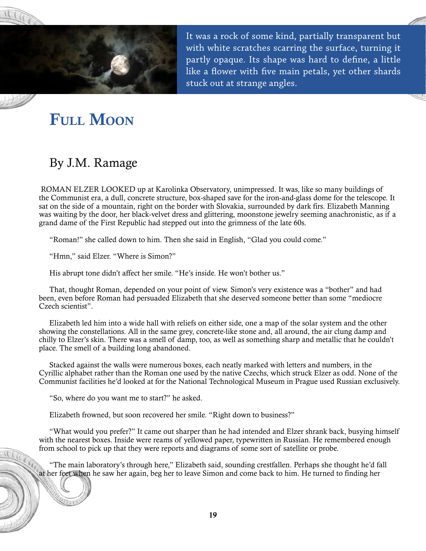<span id="page-19-0"></span>

It was a rock of some kind, partially transparent but with white scratches scarring the surface, turning it partly opaque. Its shape was hard to define, a little like a flower with five main petals, yet other shards stuck out at strange angles.

# FULL MOON

### By J.M. Ramage

ROMAN ELZER LOOKED up at Karolinka Observatory, unimpressed. It was, like so many buildings of the Communist era, a dull, concrete structure, box-shaped save for the iron-and-glass dome for the telescope. It sat on the side of a mountain, right on the border with Slovakia, surrounded by dark firs. Elizabeth Manning was waiting by the door, her black-velvet dress and glittering, moonstone jewelry seeming anachronistic, as if a grand dame of the First Republic had stepped out into the grimness of the late 60s.

"Roman!" she called down to him. Then she said in English, "Glad you could come."

"Hmn," said Elzer. "Where is Simon?"

His abrupt tone didn't affect her smile. "He's inside. He won't bother us."

That, thought Roman, depended on your point of view. Simon's very existence was a "bother" and had been, even before Roman had persuaded Elizabeth that she deserved someone better than some "mediocre Czech scientist".

Elizabeth led him into a wide hall with reliefs on either side, one a map of the solar system and the other showing the constellations. All in the same grey, concrete-like stone and, all around, the air clung damp and chilly to Elzer's skin. There was a smell of damp, too, as well as something sharp and metallic that he couldn't place. The smell of a building long abandoned.

Stacked against the walls were numerous boxes, each neatly marked with letters and numbers, in the Cyrillic alphabet rather than the Roman one used by the native Czechs, which struck Elzer as odd. None of the Communist facilities he'd looked at for the National Technological Museum in Prague used Russian exclusively.

"So, where do you want me to start?" he asked.

Elizabeth frowned, but soon recovered her smile. "Right down to business?"

"What would you prefer?" It came out sharper than he had intended and Elzer shrank back, busying himself with the nearest boxes. Inside were reams of yellowed paper, typewritten in Russian. He remembered enough from school to pick up that they were reports and diagrams of some sort of satellite or probe.

"The main laboratory's through here," Elizabeth said, sounding crestfallen. Perhaps she thought he'd fall at her feet when he saw her again, beg her to leave Simon and come back to him. He turned to finding her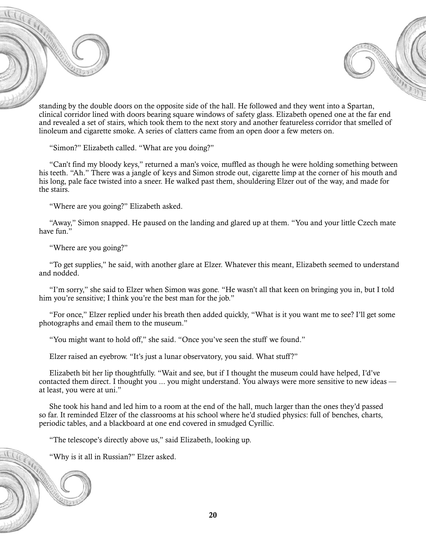



standing by the double doors on the opposite side of the hall. He followed and they went into a Spartan, clinical corridor lined with doors bearing square windows of safety glass. Elizabeth opened one at the far end and revealed a set of stairs, which took them to the next story and another featureless corridor that smelled of linoleum and cigarette smoke. A series of clatters came from an open door a few meters on.

"Simon?" Elizabeth called. "What are you doing?"

"Can't find my bloody keys," returned a man's voice, muffled as though he were holding something between his teeth. "Ah." There was a jangle of keys and Simon strode out, cigarette limp at the corner of his mouth and his long, pale face twisted into a sneer. He walked past them, shouldering Elzer out of the way, and made for the stairs.

"Where are you going?" Elizabeth asked.

"Away," Simon snapped. He paused on the landing and glared up at them. "You and your little Czech mate have fun.'

"Where are you going?"

"To get supplies," he said, with another glare at Elzer. Whatever this meant, Elizabeth seemed to understand and nodded.

"I'm sorry," she said to Elzer when Simon was gone. "He wasn't all that keen on bringing you in, but I told him you're sensitive; I think you're the best man for the job."

"For once," Elzer replied under his breath then added quickly, "What is it you want me to see? I'll get some photographs and email them to the museum."

"You might want to hold off," she said. "Once you've seen the stuff we found."

Elzer raised an eyebrow. "It's just a lunar observatory, you said. What stuff?"

Elizabeth bit her lip thoughtfully. "Wait and see, but if I thought the museum could have helped, I'd've contacted them direct. I thought you ... you might understand. You always were more sensitive to new ideas at least, you were at uni."

She took his hand and led him to a room at the end of the hall, much larger than the ones they'd passed so far. It reminded Elzer of the classrooms at his school where he'd studied physics: full of benches, charts, periodic tables, and a blackboard at one end covered in smudged Cyrillic.

"The telescope's directly above us," said Elizabeth, looking up.

"Why is it all in Russian?" Elzer asked.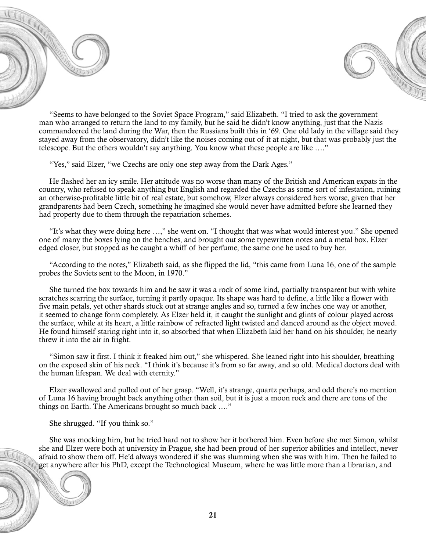



"Seems to have belonged to the Soviet Space Program," said Elizabeth. "I tried to ask the government man who arranged to return the land to my family, but he said he didn't know anything, just that the Nazis commandeered the land during the War, then the Russians built this in '69. One old lady in the village said they stayed away from the observatory, didn't like the noises coming out of it at night, but that was probably just the telescope. But the others wouldn't say anything. You know what these people are like …."

"Yes," said Elzer, "we Czechs are only one step away from the Dark Ages."

He flashed her an icy smile. Her attitude was no worse than many of the British and American expats in the country, who refused to speak anything but English and regarded the Czechs as some sort of infestation, ruining an otherwise-profitable little bit of real estate, but somehow, Elzer always considered hers worse, given that her grandparents had been Czech, something he imagined she would never have admitted before she learned they had property due to them through the repatriation schemes.

"It's what they were doing here …," she went on. "I thought that was what would interest you." She opened one of many the boxes lying on the benches, and brought out some typewritten notes and a metal box. Elzer edged closer, but stopped as he caught a whiff of her perfume, the same one he used to buy her.

"According to the notes," Elizabeth said, as she flipped the lid, "this came from Luna 16, one of the sample probes the Soviets sent to the Moon, in 1970."

She turned the box towards him and he saw it was a rock of some kind, partially transparent but with white scratches scarring the surface, turning it partly opaque. Its shape was hard to define, a little like a flower with five main petals, yet other shards stuck out at strange angles and so, turned a few inches one way or another, it seemed to change form completely. As Elzer held it, it caught the sunlight and glints of colour played across the surface, while at its heart, a little rainbow of refracted light twisted and danced around as the object moved. He found himself staring right into it, so absorbed that when Elizabeth laid her hand on his shoulder, he nearly threw it into the air in fright.

"Simon saw it first. I think it freaked him out," she whispered. She leaned right into his shoulder, breathing on the exposed skin of his neck. "I think it's because it's from so far away, and so old. Medical doctors deal with the human lifespan. We deal with eternity."

Elzer swallowed and pulled out of her grasp. "Well, it's strange, quartz perhaps, and odd there's no mention of Luna 16 having brought back anything other than soil, but it is just a moon rock and there are tons of the things on Earth. The Americans brought so much back …."

She shrugged. "If you think so."

She was mocking him, but he tried hard not to show her it bothered him. Even before she met Simon, whilst she and Elzer were both at university in Prague, she had been proud of her superior abilities and intellect, never afraid to show them off. He'd always wondered if she was slumming when she was with him. Then he failed to get anywhere after his PhD, except the Technological Museum, where he was little more than a librarian, and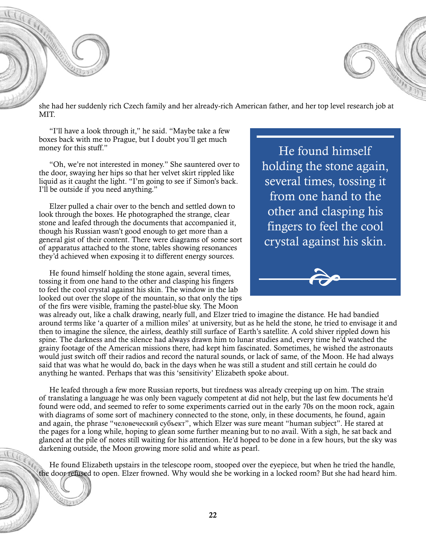she had her suddenly rich Czech family and her already-rich American father, and her top level research job at MIT.

"I'll have a look through it," he said. "Maybe take a few boxes back with me to Prague, but I doubt you'll get much money for this stuff."

"Oh, we're not interested in money." She sauntered over to the door, swaying her hips so that her velvet skirt rippled like liquid as it caught the light. "I'm going to see if Simon's back. I'll be outside if you need anything."

Elzer pulled a chair over to the bench and settled down to look through the boxes. He photographed the strange, clear stone and leafed through the documents that accompanied it, though his Russian wasn't good enough to get more than a general gist of their content. There were diagrams of some sort of apparatus attached to the stone, tables showing resonances they'd achieved when exposing it to different energy sources.

He found himself holding the stone again, several times, tossing it from one hand to the other and clasping his fingers to feel the cool crystal against his skin. The window in the lab looked out over the slope of the mountain, so that only the tips of the firs were visible, framing the pastel-blue sky. The Moon

was already out, like a chalk drawing, nearly full, and Elzer tried to imagine the distance. He had bandied around terms like 'a quarter of a million miles' at university, but as he held the stone, he tried to envisage it and then to imagine the silence, the airless, deathly still surface of Earth's satellite. A cold shiver rippled down his spine. The darkness and the silence had always drawn him to lunar studies and, every time he'd watched the grainy footage of the American missions there, had kept him fascinated. Sometimes, he wished the astronauts would just switch off their radios and record the natural sounds, or lack of same, of the Moon. He had always said that was what he would do, back in the days when he was still a student and still certain he could do anything he wanted. Perhaps that was this 'sensitivity' Elizabeth spoke about.

He leafed through a few more Russian reports, but tiredness was already creeping up on him. The strain of translating a language he was only been vaguely competent at did not help, but the last few documents he'd found were odd, and seemed to refer to some experiments carried out in the early 70s on the moon rock, again with diagrams of some sort of machinery connected to the stone, only, in these documents, he found, again and again, the phrase "человеческий субъект", which Elzer was sure meant "human subject". He stared at the pages for a long while, hoping to glean some further meaning but to no avail. With a sigh, he sat back and glanced at the pile of notes still waiting for his attention. He'd hoped to be done in a few hours, but the sky was darkening outside, the Moon growing more solid and white as pearl.

He found Elizabeth upstairs in the telescope room, stooped over the eyepiece, but when he tried the handle, the door refused to open. Elzer frowned. Why would she be working in a locked room? But she had heard him.

He found himself holding the stone again, several times, tossing it from one hand to the other and clasping his fingers to feel the cool crystal against his skin.

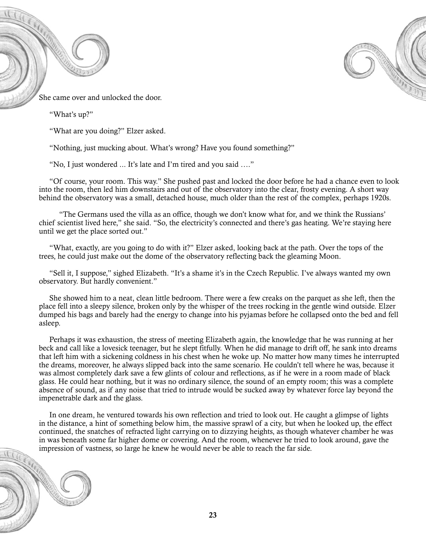



She came over and unlocked the door.

"What's up?"

"What are you doing?" Elzer asked.

"Nothing, just mucking about. What's wrong? Have you found something?"

"No, I just wondered ... It's late and I'm tired and you said …."

"Of course, your room. This way." She pushed past and locked the door before he had a chance even to look into the room, then led him downstairs and out of the observatory into the clear, frosty evening. A short way behind the observatory was a small, detached house, much older than the rest of the complex, perhaps 1920s.

 "The Germans used the villa as an office, though we don't know what for, and we think the Russians' chief scientist lived here," she said. "So, the electricity's connected and there's gas heating. We're staying here until we get the place sorted out."

"What, exactly, are you going to do with it?" Elzer asked, looking back at the path. Over the tops of the trees, he could just make out the dome of the observatory reflecting back the gleaming Moon.

"Sell it, I suppose," sighed Elizabeth. "It's a shame it's in the Czech Republic. I've always wanted my own observatory. But hardly convenient."

She showed him to a neat, clean little bedroom. There were a few creaks on the parquet as she left, then the place fell into a sleepy silence, broken only by the whisper of the trees rocking in the gentle wind outside. Elzer dumped his bags and barely had the energy to change into his pyjamas before he collapsed onto the bed and fell asleep.

Perhaps it was exhaustion, the stress of meeting Elizabeth again, the knowledge that he was running at her beck and call like a lovesick teenager, but he slept fitfully. When he did manage to drift off, he sank into dreams that left him with a sickening coldness in his chest when he woke up. No matter how many times he interrupted the dreams, moreover, he always slipped back into the same scenario. He couldn't tell where he was, because it was almost completely dark save a few glints of colour and reflections, as if he were in a room made of black glass. He could hear nothing, but it was no ordinary silence, the sound of an empty room; this was a complete absence of sound, as if any noise that tried to intrude would be sucked away by whatever force lay beyond the impenetrable dark and the glass.

In one dream, he ventured towards his own reflection and tried to look out. He caught a glimpse of lights in the distance, a hint of something below him, the massive sprawl of a city, but when he looked up, the effect continued, the snatches of refracted light carrying on to dizzying heights, as though whatever chamber he was in was beneath some far higher dome or covering. And the room, whenever he tried to look around, gave the impression of vastness, so large he knew he would never be able to reach the far side.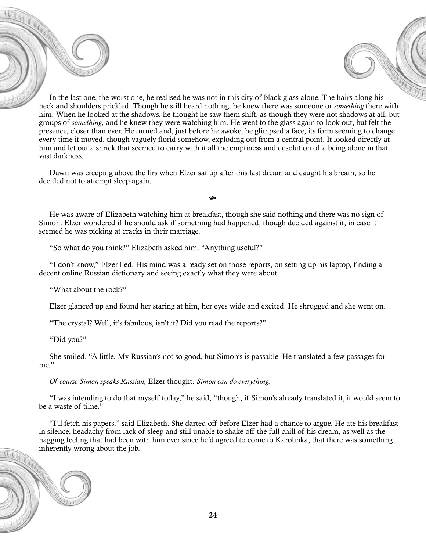In the last one, the worst one, he realised he was not in this city of black glass alone. The hairs along his neck and shoulders prickled. Though he still heard nothing, he knew there was someone or *something* there with him. When he looked at the shadows, he thought he saw them shift, as though they were not shadows at all, but groups of *something*, and he knew they were watching him. He went to the glass again to look out, but felt the presence, closer than ever. He turned and, just before he awoke, he glimpsed a face, its form seeming to change every time it moved, though vaguely florid somehow, exploding out from a central point. It looked directly at him and let out a shriek that seemed to carry with it all the emptiness and desolation of a being alone in that vast darkness.

Dawn was creeping above the firs when Elzer sat up after this last dream and caught his breath, so he decided not to attempt sleep again.

He was aware of Elizabeth watching him at breakfast, though she said nothing and there was no sign of Simon. Elzer wondered if he should ask if something had happened, though decided against it, in case it seemed he was picking at cracks in their marriage.

Ġ.

"So what do you think?" Elizabeth asked him. "Anything useful?"

"I don't know," Elzer lied. His mind was already set on those reports, on setting up his laptop, finding a decent online Russian dictionary and seeing exactly what they were about.

"What about the rock?"

Elzer glanced up and found her staring at him, her eyes wide and excited. He shrugged and she went on.

"The crystal? Well, it's fabulous, isn't it? Did you read the reports?"

"Did you?"

She smiled. "A little. My Russian's not so good, but Simon's is passable. He translated a few passages for me."

*Of course Simon speaks Russian,* Elzer thought. *Simon can do everything.*

"I was intending to do that myself today," he said, "though, if Simon's already translated it, it would seem to be a waste of time."

"I'll fetch his papers," said Elizabeth. She darted off before Elzer had a chance to argue. He ate his breakfast in silence, headachy from lack of sleep and still unable to shake off the full chill of his dream, as well as the nagging feeling that had been with him ever since he'd agreed to come to Karolinka, that there was something inherently wrong about the job.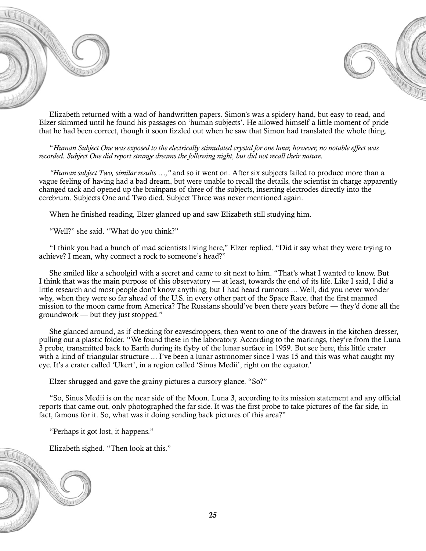



Elizabeth returned with a wad of handwritten papers. Simon's was a spidery hand, but easy to read, and Elzer skimmed until he found his passages on 'human subjects'. He allowed himself a little moment of pride that he had been correct, though it soon fizzled out when he saw that Simon had translated the whole thing.

"*Human Subject One was exposed to the electrically stimulated crystal for one hour, however, no notable effect was recorded. Subject One did report strange dreams the following night, but did not recall their nature.*

*"Human subject Two, similar results …,"* and so it went on. After six subjects failed to produce more than a vague feeling of having had a bad dream, but were unable to recall the details, the scientist in charge apparently changed tack and opened up the brainpans of three of the subjects, inserting electrodes directly into the cerebrum. Subjects One and Two died. Subject Three was never mentioned again.

When he finished reading, Elzer glanced up and saw Elizabeth still studying him.

"Well?" she said. "What do you think?"

"I think you had a bunch of mad scientists living here," Elzer replied. "Did it say what they were trying to achieve? I mean, why connect a rock to someone's head?"

She smiled like a schoolgirl with a secret and came to sit next to him. "That's what I wanted to know. But I think that was the main purpose of this observatory — at least, towards the end of its life. Like I said, I did a little research and most people don't know anything, but I had heard rumours ... Well, did you never wonder why, when they were so far ahead of the U.S. in every other part of the Space Race, that the first manned mission to the moon came from America? The Russians should've been there years before — they'd done all the groundwork — but they just stopped."

She glanced around, as if checking for eavesdroppers, then went to one of the drawers in the kitchen dresser, pulling out a plastic folder. "We found these in the laboratory. According to the markings, they're from the Luna 3 probe, transmitted back to Earth during its flyby of the lunar surface in 1959. But see here, this little crater with a kind of triangular structure ... I've been a lunar astronomer since I was 15 and this was what caught my eye. It's a crater called 'Ukert', in a region called 'Sinus Medii', right on the equator.'

Elzer shrugged and gave the grainy pictures a cursory glance. "So?"

"So, Sinus Medii is on the near side of the Moon. Luna 3, according to its mission statement and any official reports that came out, only photographed the far side. It was the first probe to take pictures of the far side, in fact, famous for it. So, what was it doing sending back pictures of this area?"

"Perhaps it got lost, it happens."

Elizabeth sighed. "Then look at this."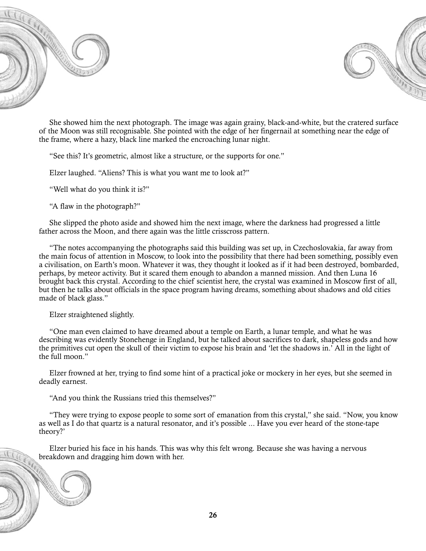



She showed him the next photograph. The image was again grainy, black-and-white, but the cratered surface of the Moon was still recognisable. She pointed with the edge of her fingernail at something near the edge of the frame, where a hazy, black line marked the encroaching lunar night.

"See this? It's geometric, almost like a structure, or the supports for one."

Elzer laughed. "Aliens? This is what you want me to look at?"

"Well what do you think it is?"

"A flaw in the photograph?"

She slipped the photo aside and showed him the next image, where the darkness had progressed a little father across the Moon, and there again was the little crisscross pattern.

"The notes accompanying the photographs said this building was set up, in Czechoslovakia, far away from the main focus of attention in Moscow, to look into the possibility that there had been something, possibly even a civilisation, on Earth's moon. Whatever it was, they thought it looked as if it had been destroyed, bombarded, perhaps, by meteor activity. But it scared them enough to abandon a manned mission. And then Luna 16 brought back this crystal. According to the chief scientist here, the crystal was examined in Moscow first of all, but then he talks about officials in the space program having dreams, something about shadows and old cities made of black glass."

Elzer straightened slightly.

"One man even claimed to have dreamed about a temple on Earth, a lunar temple, and what he was describing was evidently Stonehenge in England, but he talked about sacrifices to dark, shapeless gods and how the primitives cut open the skull of their victim to expose his brain and 'let the shadows in.' All in the light of the full moon."

Elzer frowned at her, trying to find some hint of a practical joke or mockery in her eyes, but she seemed in deadly earnest.

"And you think the Russians tried this themselves?"

"They were trying to expose people to some sort of emanation from this crystal," she said. "Now, you know as well as I do that quartz is a natural resonator, and it's possible ... Have you ever heard of the stone-tape theory?'

Elzer buried his face in his hands. This was why this felt wrong. Because she was having a nervous breakdown and dragging him down with her.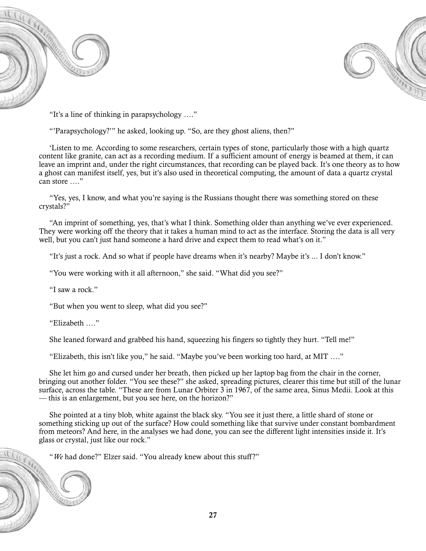



"It's a line of thinking in parapsychology …."

"'Parapsychology?'" he asked, looking up. "So, are they ghost aliens, then?"

'Listen to me. According to some researchers, certain types of stone, particularly those with a high quartz content like granite, can act as a recording medium. If a sufficient amount of energy is beamed at them, it can leave an imprint and, under the right circumstances, that recording can be played back. It's one theory as to how a ghost can manifest itself, yes, but it's also used in theoretical computing, the amount of data a quartz crystal can store …."

"Yes, yes, I know, and what you're saying is the Russians thought there was something stored on these crystals?"

"An imprint of something, yes, that's what I think. Something older than anything we've ever experienced. They were working off the theory that it takes a human mind to act as the interface. Storing the data is all very well, but you can't just hand someone a hard drive and expect them to read what's on it."

"It's just a rock. And so what if people have dreams when it's nearby? Maybe it's ... I don't know."

"You were working with it all afternoon," she said. "What did you see?"

"I saw a rock."

"But when you went to sleep, what did you see?"

"Elizabeth …."

She leaned forward and grabbed his hand, squeezing his fingers so tightly they hurt. "Tell me!"

"Elizabeth, this isn't like you," he said. "Maybe you've been working too hard, at MIT …."

She let him go and cursed under her breath, then picked up her laptop bag from the chair in the corner, bringing out another folder. "You see these?" she asked, spreading pictures, clearer this time but still of the lunar surface, across the table. "These are from Lunar Orbiter 3 in 1967, of the same area, Sinus Medii. Look at this — this is an enlargement, but you see here, on the horizon?"

She pointed at a tiny blob, white against the black sky. "You see it just there, a little shard of stone or something sticking up out of the surface? How could something like that survive under constant bombardment from meteors? And here, in the analyses we had done, you can see the different light intensities inside it. It's glass or crystal, just like our rock."

"*We* had done?" Elzer said. "You already knew about this stuff?"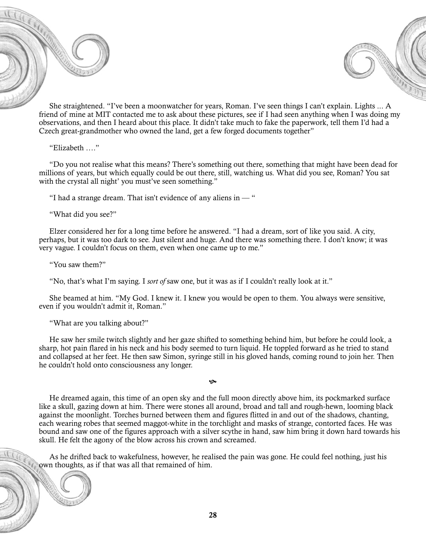



She straightened. "I've been a moonwatcher for years, Roman. I've seen things I can't explain. Lights ... A friend of mine at MIT contacted me to ask about these pictures, see if I had seen anything when I was doing my observations, and then I heard about this place. It didn't take much to fake the paperwork, tell them I'd had a Czech great-grandmother who owned the land, get a few forged documents together"

"Elizabeth …."

"Do you not realise what this means? There's something out there, something that might have been dead for millions of years, but which equally could be out there, still, watching us. What did you see, Roman? You sat with the crystal all night' you must've seen something."

"I had a strange dream. That isn't evidence of any aliens in  $-$ "

"What did you see?"

Elzer considered her for a long time before he answered. "I had a dream, sort of like you said. A city, perhaps, but it was too dark to see. Just silent and huge. And there was something there. I don't know; it was very vague. I couldn't focus on them, even when one came up to me."

"You saw them?"

"No, that's what I'm saying. I *sort of* saw one, but it was as if I couldn't really look at it."

She beamed at him. "My God. I knew it. I knew you would be open to them. You always were sensitive, even if you wouldn't admit it, Roman."

"What are you talking about?"

He saw her smile twitch slightly and her gaze shifted to something behind him, but before he could look, a sharp, hot pain flared in his neck and his body seemed to turn liquid. He toppled forward as he tried to stand and collapsed at her feet. He then saw Simon, syringe still in his gloved hands, coming round to join her. Then he couldn't hold onto consciousness any longer.

 $\ddot{\mathbf{c}}$ 

He dreamed again, this time of an open sky and the full moon directly above him, its pockmarked surface like a skull, gazing down at him. There were stones all around, broad and tall and rough-hewn, looming black against the moonlight. Torches burned between them and figures flitted in and out of the shadows, chanting, each wearing robes that seemed maggot-white in the torchlight and masks of strange, contorted faces. He was bound and saw one of the figures approach with a silver scythe in hand, saw him bring it down hard towards his skull. He felt the agony of the blow across his crown and screamed.

As he drifted back to wakefulness, however, he realised the pain was gone. He could feel nothing, just his own thoughts, as if that was all that remained of him.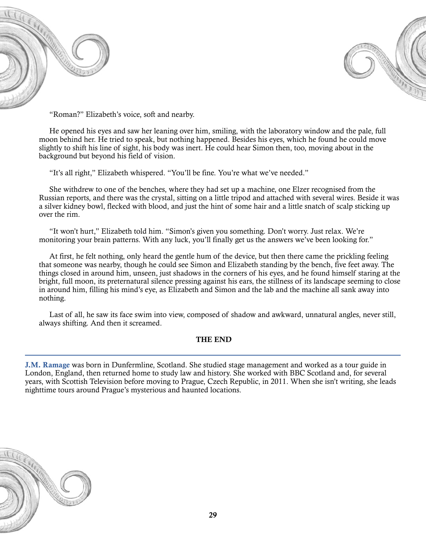



"Roman?" Elizabeth's voice, soft and nearby.

He opened his eyes and saw her leaning over him, smiling, with the laboratory window and the pale, full moon behind her. He tried to speak, but nothing happened. Besides his eyes, which he found he could move slightly to shift his line of sight, his body was inert. He could hear Simon then, too, moving about in the background but beyond his field of vision.

"It's all right," Elizabeth whispered. "You'll be fine. You're what we've needed."

She withdrew to one of the benches, where they had set up a machine, one Elzer recognised from the Russian reports, and there was the crystal, sitting on a little tripod and attached with several wires. Beside it was a silver kidney bowl, flecked with blood, and just the hint of some hair and a little snatch of scalp sticking up over the rim.

"It won't hurt," Elizabeth told him. "Simon's given you something. Don't worry. Just relax. We're monitoring your brain patterns. With any luck, you'll finally get us the answers we've been looking for."

At first, he felt nothing, only heard the gentle hum of the device, but then there came the prickling feeling that someone was nearby, though he could see Simon and Elizabeth standing by the bench, five feet away. The things closed in around him, unseen, just shadows in the corners of his eyes, and he found himself staring at the bright, full moon, its preternatural silence pressing against his ears, the stillness of its landscape seeming to close in around him, filling his mind's eye, as Elizabeth and Simon and the lab and the machine all sank away into nothing.

Last of all, he saw its face swim into view, composed of shadow and awkward, unnatural angles, never still, always shifting. And then it screamed.

#### THE END

J.M. Ramage was born in Dunfermline, Scotland. She studied stage management and worked as a tour guide in London, England, then returned home to study law and history. She worked with BBC Scotland and, for several years, with Scottish Television before moving to Prague, Czech Republic, in 2011. When she isn't writing, she leads nighttime tours around Prague's mysterious and haunted locations.

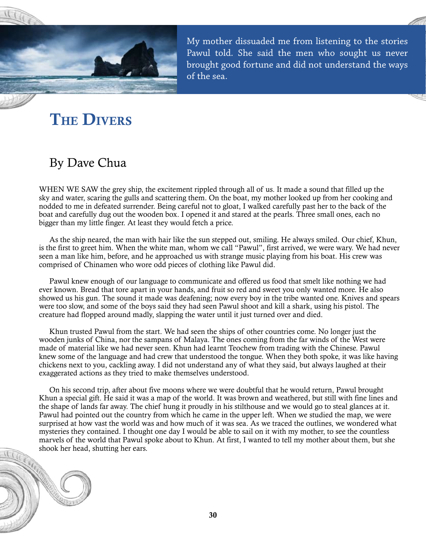<span id="page-30-0"></span>

My mother dissuaded me from listening to the stories Pawul told. She said the men who sought us never brought good fortune and did not understand the ways of the sea.

# **THE DIVERS**

### By Dave Chua

WHEN WE SAW the grey ship, the excitement rippled through all of us. It made a sound that filled up the sky and water, scaring the gulls and scattering them. On the boat, my mother looked up from her cooking and nodded to me in defeated surrender. Being careful not to gloat, I walked carefully past her to the back of the boat and carefully dug out the wooden box. I opened it and stared at the pearls. Three small ones, each no bigger than my little finger. At least they would fetch a price.

As the ship neared, the man with hair like the sun stepped out, smiling. He always smiled. Our chief, Khun, is the first to greet him. When the white man, whom we call "Pawul", first arrived, we were wary. We had never seen a man like him, before, and he approached us with strange music playing from his boat. His crew was comprised of Chinamen who wore odd pieces of clothing like Pawul did.

Pawul knew enough of our language to communicate and offered us food that smelt like nothing we had ever known. Bread that tore apart in your hands, and fruit so red and sweet you only wanted more. He also showed us his gun. The sound it made was deafening; now every boy in the tribe wanted one. Knives and spears were too slow, and some of the boys said they had seen Pawul shoot and kill a shark, using his pistol. The creature had flopped around madly, slapping the water until it just turned over and died.

Khun trusted Pawul from the start. We had seen the ships of other countries come. No longer just the wooden junks of China, nor the sampans of Malaya. The ones coming from the far winds of the West were made of material like we had never seen. Khun had learnt Teochew from trading with the Chinese. Pawul knew some of the language and had crew that understood the tongue. When they both spoke, it was like having chickens next to you, cackling away. I did not understand any of what they said, but always laughed at their exaggerated actions as they tried to make themselves understood.

On his second trip, after about five moons where we were doubtful that he would return, Pawul brought Khun a special gift. He said it was a map of the world. It was brown and weathered, but still with fine lines and the shape of lands far away. The chief hung it proudly in his stilthouse and we would go to steal glances at it. Pawul had pointed out the country from which he came in the upper left. When we studied the map, we were surprised at how vast the world was and how much of it was sea. As we traced the outlines, we wondered what mysteries they contained. I thought one day I would be able to sail on it with my mother, to see the countless marvels of the world that Pawul spoke about to Khun. At first, I wanted to tell my mother about them, but she shook her head, shutting her ears.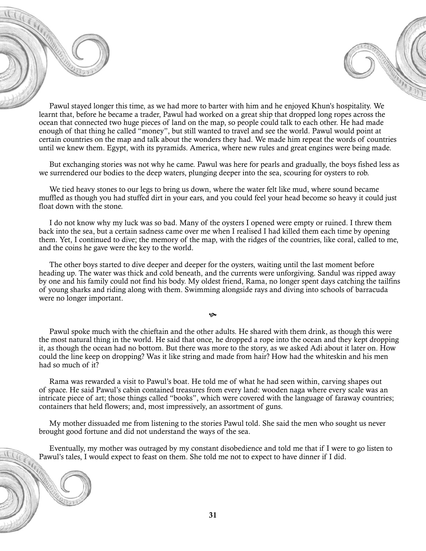Pawul stayed longer this time, as we had more to barter with him and he enjoyed Khun's hospitality. We learnt that, before he became a trader, Pawul had worked on a great ship that dropped long ropes across the ocean that connected two huge pieces of land on the map, so people could talk to each other. He had made enough of that thing he called "money", but still wanted to travel and see the world. Pawul would point at certain countries on the map and talk about the wonders they had. We made him repeat the words of countries until we knew them. Egypt, with its pyramids. America, where new rules and great engines were being made.

But exchanging stories was not why he came. Pawul was here for pearls and gradually, the boys fished less as we surrendered our bodies to the deep waters, plunging deeper into the sea, scouring for oysters to rob.

We tied heavy stones to our legs to bring us down, where the water felt like mud, where sound became muffled as though you had stuffed dirt in your ears, and you could feel your head become so heavy it could just float down with the stone.

I do not know why my luck was so bad. Many of the oysters I opened were empty or ruined. I threw them back into the sea, but a certain sadness came over me when I realised I had killed them each time by opening them. Yet, I continued to dive; the memory of the map, with the ridges of the countries, like coral, called to me, and the coins he gave were the key to the world.

The other boys started to dive deeper and deeper for the oysters, waiting until the last moment before heading up. The water was thick and cold beneath, and the currents were unforgiving. Sandul was ripped away by one and his family could not find his body. My oldest friend, Rama, no longer spent days catching the tailfins of young sharks and riding along with them. Swimming alongside rays and diving into schools of barracuda were no longer important.

 $\infty$ 

Pawul spoke much with the chieftain and the other adults. He shared with them drink, as though this were the most natural thing in the world. He said that once, he dropped a rope into the ocean and they kept dropping it, as though the ocean had no bottom. But there was more to the story, as we asked Adi about it later on. How could the line keep on dropping? Was it like string and made from hair? How had the whiteskin and his men had so much of it?

Rama was rewarded a visit to Pawul's boat. He told me of what he had seen within, carving shapes out of space. He said Pawul's cabin contained treasures from every land: wooden naga where every scale was an intricate piece of art; those things called "books", which were covered with the language of faraway countries; containers that held flowers; and, most impressively, an assortment of guns.

My mother dissuaded me from listening to the stories Pawul told. She said the men who sought us never brought good fortune and did not understand the ways of the sea.

Eventually, my mother was outraged by my constant disobedience and told me that if I were to go listen to Pawul's tales, I would expect to feast on them. She told me not to expect to have dinner if I did.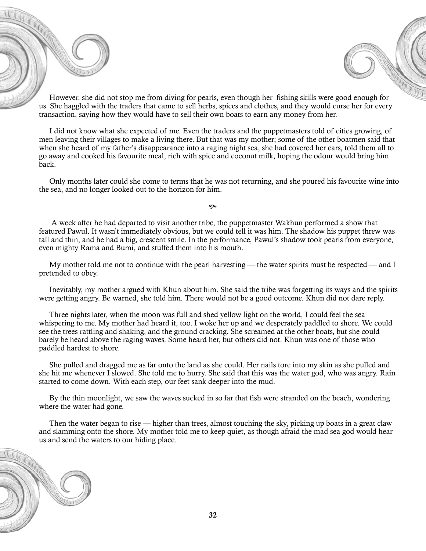However, she did not stop me from diving for pearls, even though her fishing skills were good enough for us. She haggled with the traders that came to sell herbs, spices and clothes, and they would curse her for every transaction, saying how they would have to sell their own boats to earn any money from her.

I did not know what she expected of me. Even the traders and the puppetmasters told of cities growing, of men leaving their villages to make a living there. But that was my mother; some of the other boatmen said that when she heard of my father's disappearance into a raging night sea, she had covered her ears, told them all to go away and cooked his favourite meal, rich with spice and coconut milk, hoping the odour would bring him back.

Only months later could she come to terms that he was not returning, and she poured his favourite wine into the sea, and no longer looked out to the horizon for him.

 A week after he had departed to visit another tribe, the puppetmaster Wakhun performed a show that featured Pawul. It wasn't immediately obvious, but we could tell it was him. The shadow his puppet threw was tall and thin, and he had a big, crescent smile. In the performance, Pawul's shadow took pearls from everyone, even mighty Rama and Bumi, and stuffed them into his mouth.

 $\infty$ 

My mother told me not to continue with the pearl harvesting — the water spirits must be respected — and I pretended to obey.

Inevitably, my mother argued with Khun about him. She said the tribe was forgetting its ways and the spirits were getting angry. Be warned, she told him. There would not be a good outcome. Khun did not dare reply.

Three nights later, when the moon was full and shed yellow light on the world, I could feel the sea whispering to me. My mother had heard it, too. I woke her up and we desperately paddled to shore. We could see the trees rattling and shaking, and the ground cracking. She screamed at the other boats, but she could barely be heard above the raging waves. Some heard her, but others did not. Khun was one of those who paddled hardest to shore.

She pulled and dragged me as far onto the land as she could. Her nails tore into my skin as she pulled and she hit me whenever I slowed. She told me to hurry. She said that this was the water god, who was angry. Rain started to come down. With each step, our feet sank deeper into the mud.

By the thin moonlight, we saw the waves sucked in so far that fish were stranded on the beach, wondering where the water had gone.

Then the water began to rise — higher than trees, almost touching the sky, picking up boats in a great claw and slamming onto the shore. My mother told me to keep quiet, as though afraid the mad sea god would hear us and send the waters to our hiding place.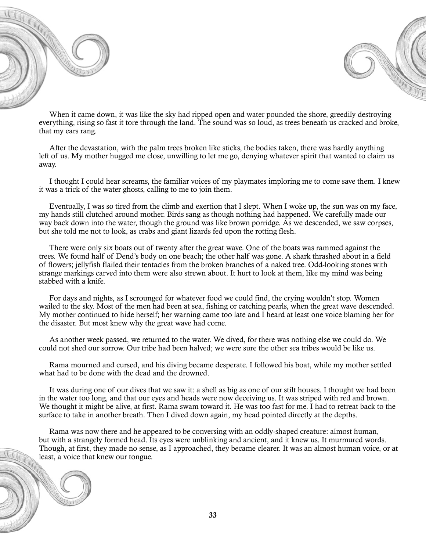



When it came down, it was like the sky had ripped open and water pounded the shore, greedily destroying everything, rising so fast it tore through the land. The sound was so loud, as trees beneath us cracked and broke, that my ears rang.

After the devastation, with the palm trees broken like sticks, the bodies taken, there was hardly anything left of us. My mother hugged me close, unwilling to let me go, denying whatever spirit that wanted to claim us away.

I thought I could hear screams, the familiar voices of my playmates imploring me to come save them. I knew it was a trick of the water ghosts, calling to me to join them.

Eventually, I was so tired from the climb and exertion that I slept. When I woke up, the sun was on my face, my hands still clutched around mother. Birds sang as though nothing had happened. We carefully made our way back down into the water, though the ground was like brown porridge. As we descended, we saw corpses, but she told me not to look, as crabs and giant lizards fed upon the rotting flesh.

There were only six boats out of twenty after the great wave. One of the boats was rammed against the trees. We found half of Dend's body on one beach; the other half was gone. A shark thrashed about in a field of flowers; jellyfish flailed their tentacles from the broken branches of a naked tree. Odd-looking stones with strange markings carved into them were also strewn about. It hurt to look at them, like my mind was being stabbed with a knife.

For days and nights, as I scrounged for whatever food we could find, the crying wouldn't stop. Women wailed to the sky. Most of the men had been at sea, fishing or catching pearls, when the great wave descended. My mother continued to hide herself; her warning came too late and I heard at least one voice blaming her for the disaster. But most knew why the great wave had come.

As another week passed, we returned to the water. We dived, for there was nothing else we could do. We could not shed our sorrow. Our tribe had been halved; we were sure the other sea tribes would be like us.

Rama mourned and cursed, and his diving became desperate. I followed his boat, while my mother settled what had to be done with the dead and the drowned.

It was during one of our dives that we saw it: a shell as big as one of our stilt houses. I thought we had been in the water too long, and that our eyes and heads were now deceiving us. It was striped with red and brown. We thought it might be alive, at first. Rama swam toward it. He was too fast for me. I had to retreat back to the surface to take in another breath. Then I dived down again, my head pointed directly at the depths.

Rama was now there and he appeared to be conversing with an oddly-shaped creature: almost human, but with a strangely formed head. Its eyes were unblinking and ancient, and it knew us. It murmured words. Though, at first, they made no sense, as I approached, they became clearer. It was an almost human voice, or at least, a voice that knew our tongue.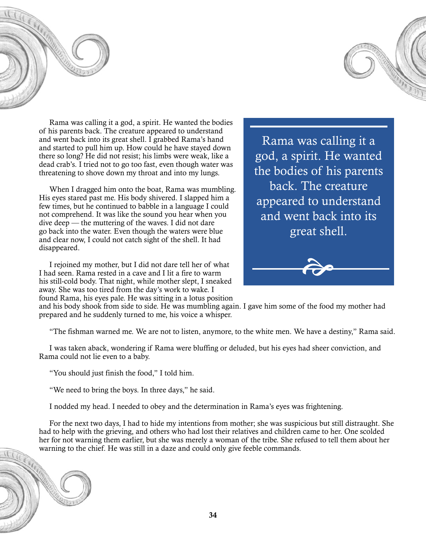



Rama was calling it a god, a spirit. He wanted the bodies of his parents back. The creature appeared to understand and went back into its great shell. I grabbed Rama's hand and started to pull him up. How could he have stayed down there so long? He did not resist; his limbs were weak, like a dead crab's. I tried not to go too fast, even though water was threatening to shove down my throat and into my lungs.

When I dragged him onto the boat, Rama was mumbling. His eyes stared past me. His body shivered. I slapped him a few times, but he continued to babble in a language I could not comprehend. It was like the sound you hear when you dive deep — the muttering of the waves. I did not dare go back into the water. Even though the waters were blue and clear now, I could not catch sight of the shell. It had disappeared.

I rejoined my mother, but I did not dare tell her of what I had seen. Rama rested in a cave and I lit a fire to warm his still-cold body. That night, while mother slept, I sneaked away. She was too tired from the day's work to wake. I found Rama, his eyes pale. He was sitting in a lotus position

Rama was calling it a god, a spirit. He wanted the bodies of his parents back. The creature appeared to understand and went back into its great shell.



and his body shook from side to side. He was mumbling again. I gave him some of the food my mother had prepared and he suddenly turned to me, his voice a whisper.

"The fishman warned me. We are not to listen, anymore, to the white men. We have a destiny," Rama said.

I was taken aback, wondering if Rama were bluffing or deluded, but his eyes had sheer conviction, and Rama could not lie even to a baby.

"You should just finish the food," I told him.

"We need to bring the boys. In three days," he said.

I nodded my head. I needed to obey and the determination in Rama's eyes was frightening.

For the next two days, I had to hide my intentions from mother; she was suspicious but still distraught. She had to help with the grieving, and others who had lost their relatives and children came to her. One scolded her for not warning them earlier, but she was merely a woman of the tribe. She refused to tell them about her warning to the chief. He was still in a daze and could only give feeble commands.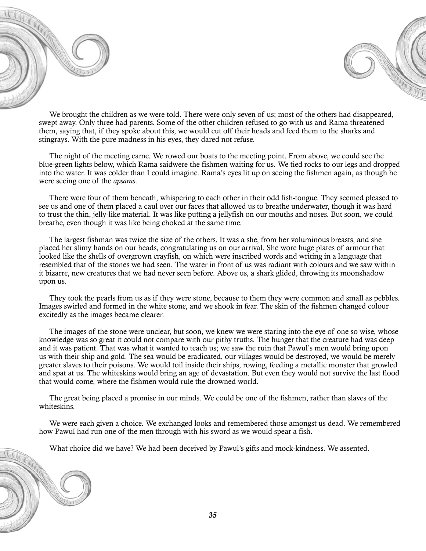



We brought the children as we were told. There were only seven of us; most of the others had disappeared, swept away. Only three had parents. Some of the other children refused to go with us and Rama threatened them, saying that, if they spoke about this, we would cut off their heads and feed them to the sharks and stingrays. With the pure madness in his eyes, they dared not refuse.

The night of the meeting came. We rowed our boats to the meeting point. From above, we could see the blue-green lights below, which Rama saidwere the fishmen waiting for us. We tied rocks to our legs and dropped into the water. It was colder than I could imagine. Rama's eyes lit up on seeing the fishmen again, as though he were seeing one of the *apsaras*.

There were four of them beneath, whispering to each other in their odd fish-tongue. They seemed pleased to see us and one of them placed a caul over our faces that allowed us to breathe underwater, though it was hard to trust the thin, jelly-like material. It was like putting a jellyfish on our mouths and noses. But soon, we could breathe, even though it was like being choked at the same time.

The largest fishman was twice the size of the others. It was a she, from her voluminous breasts, and she placed her slimy hands on our heads, congratulating us on our arrival. She wore huge plates of armour that looked like the shells of overgrown crayfish, on which were inscribed words and writing in a language that resembled that of the stones we had seen. The water in front of us was radiant with colours and we saw within it bizarre, new creatures that we had never seen before. Above us, a shark glided, throwing its moonshadow upon us.

They took the pearls from us as if they were stone, because to them they were common and small as pebbles. Images swirled and formed in the white stone, and we shook in fear. The skin of the fishmen changed colour excitedly as the images became clearer.

The images of the stone were unclear, but soon, we knew we were staring into the eye of one so wise, whose knowledge was so great it could not compare with our pithy truths. The hunger that the creature had was deep and it was patient. That was what it wanted to teach us; we saw the ruin that Pawul's men would bring upon us with their ship and gold. The sea would be eradicated, our villages would be destroyed, we would be merely greater slaves to their poisons. We would toil inside their ships, rowing, feeding a metallic monster that growled and spat at us. The whiteskins would bring an age of devastation. But even they would not survive the last flood that would come, where the fishmen would rule the drowned world.

The great being placed a promise in our minds. We could be one of the fishmen, rather than slaves of the whiteskins.

We were each given a choice. We exchanged looks and remembered those amongst us dead. We remembered how Pawul had run one of the men through with his sword as we would spear a fish.

What choice did we have? We had been deceived by Pawul's gifts and mock-kindness. We assented.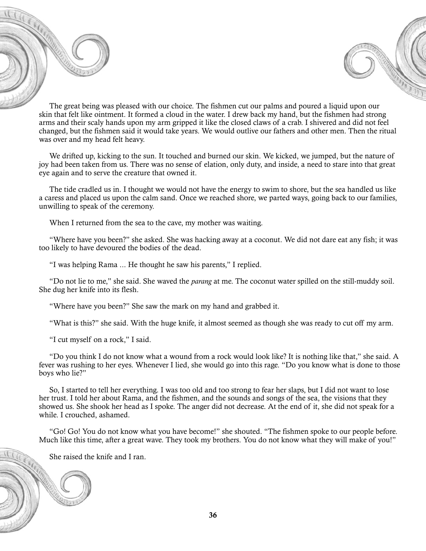



The great being was pleased with our choice. The fishmen cut our palms and poured a liquid upon our skin that felt like ointment. It formed a cloud in the water. I drew back my hand, but the fishmen had strong arms and their scaly hands upon my arm gripped it like the closed claws of a crab. I shivered and did not feel changed, but the fishmen said it would take years. We would outlive our fathers and other men. Then the ritual was over and my head felt heavy.

We drifted up, kicking to the sun. It touched and burned our skin. We kicked, we jumped, but the nature of joy had been taken from us. There was no sense of elation, only duty, and inside, a need to stare into that great eye again and to serve the creature that owned it.

The tide cradled us in. I thought we would not have the energy to swim to shore, but the sea handled us like a caress and placed us upon the calm sand. Once we reached shore, we parted ways, going back to our families, unwilling to speak of the ceremony.

When I returned from the sea to the cave, my mother was waiting.

"Where have you been?" she asked. She was hacking away at a coconut. We did not dare eat any fish; it was too likely to have devoured the bodies of the dead.

"I was helping Rama ... He thought he saw his parents," I replied.

"Do not lie to me," she said. She waved the *parang* at me. The coconut water spilled on the still-muddy soil. She dug her knife into its flesh.

"Where have you been?" She saw the mark on my hand and grabbed it.

"What is this?" she said. With the huge knife, it almost seemed as though she was ready to cut off my arm.

"I cut myself on a rock," I said.

"Do you think I do not know what a wound from a rock would look like? It is nothing like that," she said. A fever was rushing to her eyes. Whenever I lied, she would go into this rage. "Do you know what is done to those boys who lie?"

So, I started to tell her everything. I was too old and too strong to fear her slaps, but I did not want to lose her trust. I told her about Rama, and the fishmen, and the sounds and songs of the sea, the visions that they showed us. She shook her head as I spoke. The anger did not decrease. At the end of it, she did not speak for a while. I crouched, ashamed.

"Go! Go! You do not know what you have become!" she shouted. "The fishmen spoke to our people before. Much like this time, after a great wave. They took my brothers. You do not know what they will make of you!"

She raised the knife and I ran.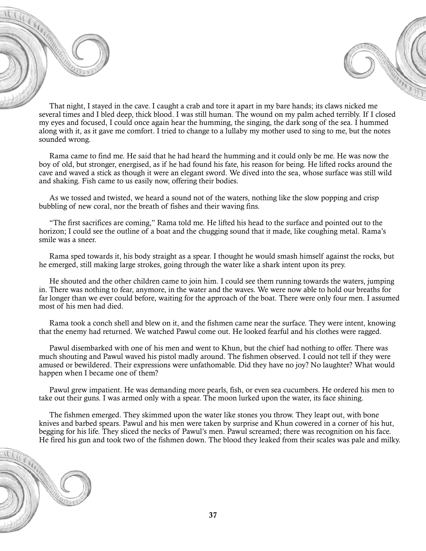



That night, I stayed in the cave. I caught a crab and tore it apart in my bare hands; its claws nicked me several times and I bled deep, thick blood. I was still human. The wound on my palm ached terribly. If I closed my eyes and focused, I could once again hear the humming, the singing, the dark song of the sea. I hummed along with it, as it gave me comfort. I tried to change to a lullaby my mother used to sing to me, but the notes sounded wrong.

Rama came to find me. He said that he had heard the humming and it could only be me. He was now the boy of old, but stronger, energised, as if he had found his fate, his reason for being. He lifted rocks around the cave and waved a stick as though it were an elegant sword. We dived into the sea, whose surface was still wild and shaking. Fish came to us easily now, offering their bodies.

As we tossed and twisted, we heard a sound not of the waters, nothing like the slow popping and crisp bubbling of new coral, nor the breath of fishes and their waving fins.

"The first sacrifices are coming," Rama told me. He lifted his head to the surface and pointed out to the horizon; I could see the outline of a boat and the chugging sound that it made, like coughing metal. Rama's smile was a sneer.

Rama sped towards it, his body straight as a spear. I thought he would smash himself against the rocks, but he emerged, still making large strokes, going through the water like a shark intent upon its prey.

He shouted and the other children came to join him. I could see them running towards the waters, jumping in. There was nothing to fear, anymore, in the water and the waves. We were now able to hold our breaths for far longer than we ever could before, waiting for the approach of the boat. There were only four men. I assumed most of his men had died.

Rama took a conch shell and blew on it, and the fishmen came near the surface. They were intent, knowing that the enemy had returned. We watched Pawul come out. He looked fearful and his clothes were ragged.

Pawul disembarked with one of his men and went to Khun, but the chief had nothing to offer. There was much shouting and Pawul waved his pistol madly around. The fishmen observed. I could not tell if they were amused or bewildered. Their expressions were unfathomable. Did they have no joy? No laughter? What would happen when I became one of them?

Pawul grew impatient. He was demanding more pearls, fish, or even sea cucumbers. He ordered his men to take out their guns. I was armed only with a spear. The moon lurked upon the water, its face shining.

The fishmen emerged. They skimmed upon the water like stones you throw. They leapt out, with bone knives and barbed spears. Pawul and his men were taken by surprise and Khun cowered in a corner of his hut, begging for his life. They sliced the necks of Pawul's men. Pawul screamed; there was recognition on his face. He fired his gun and took two of the fishmen down. The blood they leaked from their scales was pale and milky.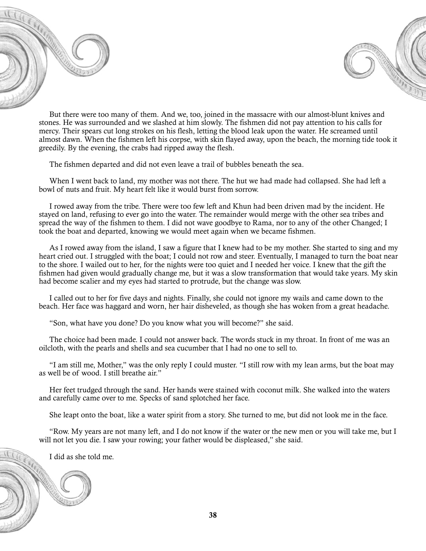



But there were too many of them. And we, too, joined in the massacre with our almost-blunt knives and stones. He was surrounded and we slashed at him slowly. The fishmen did not pay attention to his calls for mercy. Their spears cut long strokes on his flesh, letting the blood leak upon the water. He screamed until almost dawn. When the fishmen left his corpse, with skin flayed away, upon the beach, the morning tide took it greedily. By the evening, the crabs had ripped away the flesh.

The fishmen departed and did not even leave a trail of bubbles beneath the sea.

When I went back to land, my mother was not there. The hut we had made had collapsed. She had left a bowl of nuts and fruit. My heart felt like it would burst from sorrow.

I rowed away from the tribe. There were too few left and Khun had been driven mad by the incident. He stayed on land, refusing to ever go into the water. The remainder would merge with the other sea tribes and spread the way of the fishmen to them. I did not wave goodbye to Rama, nor to any of the other Changed; I took the boat and departed, knowing we would meet again when we became fishmen.

As I rowed away from the island, I saw a figure that I knew had to be my mother. She started to sing and my heart cried out. I struggled with the boat; I could not row and steer. Eventually, I managed to turn the boat near to the shore. I wailed out to her, for the nights were too quiet and I needed her voice. I knew that the gift the fishmen had given would gradually change me, but it was a slow transformation that would take years. My skin had become scalier and my eyes had started to protrude, but the change was slow.

I called out to her for five days and nights. Finally, she could not ignore my wails and came down to the beach. Her face was haggard and worn, her hair disheveled, as though she has woken from a great headache.

"Son, what have you done? Do you know what you will become?" she said.

The choice had been made. I could not answer back. The words stuck in my throat. In front of me was an oilcloth, with the pearls and shells and sea cucumber that I had no one to sell to.

"I am still me, Mother," was the only reply I could muster. "I still row with my lean arms, but the boat may as well be of wood. I still breathe air."

Her feet trudged through the sand. Her hands were stained with coconut milk. She walked into the waters and carefully came over to me. Specks of sand splotched her face.

She leapt onto the boat, like a water spirit from a story. She turned to me, but did not look me in the face.

"Row. My years are not many left, and I do not know if the water or the new men or you will take me, but I will not let you die. I saw your rowing; your father would be displeased," she said.

I did as she told me.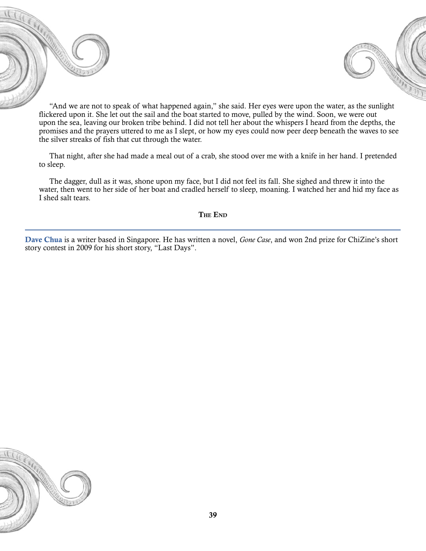



"And we are not to speak of what happened again," she said. Her eyes were upon the water, as the sunlight flickered upon it. She let out the sail and the boat started to move, pulled by the wind. Soon, we were out upon the sea, leaving our broken tribe behind. I did not tell her about the whispers I heard from the depths, the promises and the prayers uttered to me as I slept, or how my eyes could now peer deep beneath the waves to see the silver streaks of fish that cut through the water.

That night, after she had made a meal out of a crab, she stood over me with a knife in her hand. I pretended to sleep.

The dagger, dull as it was, shone upon my face, but I did not feel its fall. She sighed and threw it into the water, then went to her side of her boat and cradled herself to sleep, moaning. I watched her and hid my face as I shed salt tears.

The End

Dave Chua is a writer based in Singapore. He has written a novel, *Gone Case*, and won 2nd prize for ChiZine's short story contest in 2009 for his short story, "Last Days".

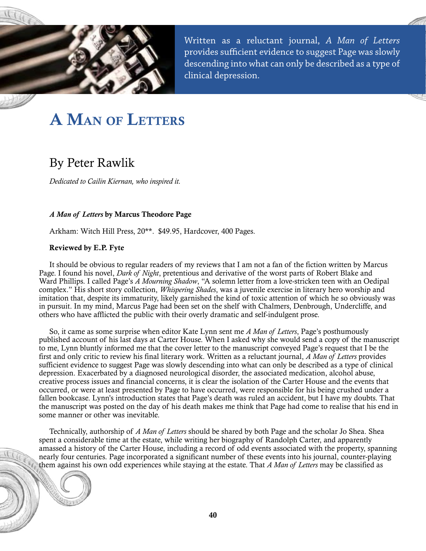<span id="page-40-0"></span>

Written as a reluctant journal, *A Man of Letters*  provides sufficient evidence to suggest Page was slowly descending into what can only be described as a type of clinical depression.

# A Man of Letters

### By Peter Rawlik

*Dedicated to Cailin Kiernan, who inspired it.*

#### *A Man of Letters* by Marcus Theodore Page

Arkham: Witch Hill Press, 20\*\*. \$49.95, Hardcover, 400 Pages.

#### Reviewed by E.P. Fyte

It should be obvious to regular readers of my reviews that I am not a fan of the fiction written by Marcus Page. I found his novel, *Dark of Night*, pretentious and derivative of the worst parts of Robert Blake and Ward Phillips. I called Page's *A Mourning Shadow*, "A solemn letter from a love-stricken teen with an Oedipal complex." His short story collection, *Whispering Shades*, was a juvenile exercise in literary hero worship and imitation that, despite its immaturity, likely garnished the kind of toxic attention of which he so obviously was in pursuit. In my mind, Marcus Page had been set on the shelf with Chalmers, Denbrough, Undercliffe, and others who have afflicted the public with their overly dramatic and self-indulgent prose.

So, it came as some surprise when editor Kate Lynn sent me *A Man of Letters*, Page's posthumously published account of his last days at Carter House. When I asked why she would send a copy of the manuscript to me, Lynn bluntly informed me that the cover letter to the manuscript conveyed Page's request that I be the first and only critic to review his final literary work. Written as a reluctant journal, *A Man of Letters* provides sufficient evidence to suggest Page was slowly descending into what can only be described as a type of clinical depression. Exacerbated by a diagnosed neurological disorder, the associated medication, alcohol abuse, creative process issues and financial concerns, it is clear the isolation of the Carter House and the events that occurred, or were at least presented by Page to have occurred, were responsible for his being crushed under a fallen bookcase. Lynn's introduction states that Page's death was ruled an accident, but I have my doubts. That the manuscript was posted on the day of his death makes me think that Page had come to realise that his end in some manner or other was inevitable.

Technically, authorship of *A Man of Letters* should be shared by both Page and the scholar Jo Shea. Shea spent a considerable time at the estate, while writing her biography of Randolph Carter, and apparently amassed a history of the Carter House, including a record of odd events associated with the property, spanning nearly four centuries. Page incorporated a significant number of these events into his journal, counter-playing them against his own odd experiences while staying at the estate. That *A Man of Letters* may be classified as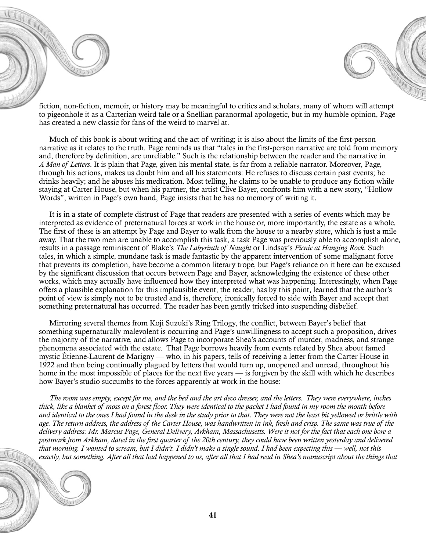fiction, non-fiction, memoir, or history may be meaningful to critics and scholars, many of whom will attempt to pigeonhole it as a Carterian weird tale or a Snellian paranormal apologetic, but in my humble opinion, Page has created a new classic for fans of the weird to marvel at.

Much of this book is about writing and the act of writing; it is also about the limits of the first-person narrative as it relates to the truth. Page reminds us that "tales in the first-person narrative are told from memory and, therefore by definition, are unreliable." Such is the relationship between the reader and the narrative in *A Man of Letters*. It is plain that Page, given his mental state, is far from a reliable narrator. Moreover, Page, through his actions, makes us doubt him and all his statements: He refuses to discuss certain past events; he drinks heavily; and he abuses his medication. Most telling, he claims to be unable to produce any fiction while staying at Carter House, but when his partner, the artist Clive Bayer, confronts him with a new story, "Hollow Words", written in Page's own hand, Page insists that he has no memory of writing it.

It is in a state of complete distrust of Page that readers are presented with a series of events which may be interpreted as evidence of preternatural forces at work in the house or, more importantly, the estate as a whole. The first of these is an attempt by Page and Bayer to walk from the house to a nearby store, which is just a mile away. That the two men are unable to accomplish this task, a task Page was previously able to accomplish alone, results in a passage reminiscent of Blake's *The Labyrinth of Naught* or Lindsay's *Picnic at Hanging Rock*. Such tales, in which a simple, mundane task is made fantastic by the apparent intervention of some malignant force that prevents its completion, have become a common literary trope, but Page's reliance on it here can be excused by the significant discussion that occurs between Page and Bayer, acknowledging the existence of these other works, which may actually have influenced how they interpreted what was happening. Interestingly, when Page offers a plausible explanation for this implausible event, the reader, has by this point, learned that the author's point of view is simply not to be trusted and is, therefore, ironically forced to side with Bayer and accept that something preternatural has occurred. The reader has been gently tricked into suspending disbelief.

Mirroring several themes from Koji Suzuki's Ring Trilogy, the conflict, between Bayer's belief that something supernaturally malevolent is occurring and Page's unwillingness to accept such a proposition, drives the majority of the narrative, and allows Page to incorporate Shea's accounts of murder, madness, and strange phenomena associated with the estate. That Page borrows heavily from events related by Shea about famed mystic Étienne-Laurent de Marigny — who, in his papers, tells of receiving a letter from the Carter House in 1922 and then being continually plagued by letters that would turn up, unopened and unread, throughout his home in the most impossible of places for the next five years — is forgiven by the skill with which he describes how Bayer's studio succumbs to the forces apparently at work in the house:

*The room was empty, except for me, and the bed and the art deco dresser, and the letters. They were everywhere, inches thick, like a blanket of moss on a forest floor. They were identical to the packet I had found in my room the month before and identical to the ones I had found in the desk in the study prior to that. They were not the least bit yellowed or brittle with age. The return address, the address of the Carter House, was handwritten in ink, fresh and crisp. The same was true of the delivery address: Mr. Marcus Page, General Delivery, Arkham, Massachusetts. Were it not for the fact that each one bore a postmark from Arkham, dated in the first quarter of the 20th century, they could have been written yesterday and delivered that morning. I wanted to scream, but I didn't. I didn't make a single sound. I had been expecting this — well, not this*  exactly, but something. After all that had happened to us, after all that I had read in Shea's manuscript about the things that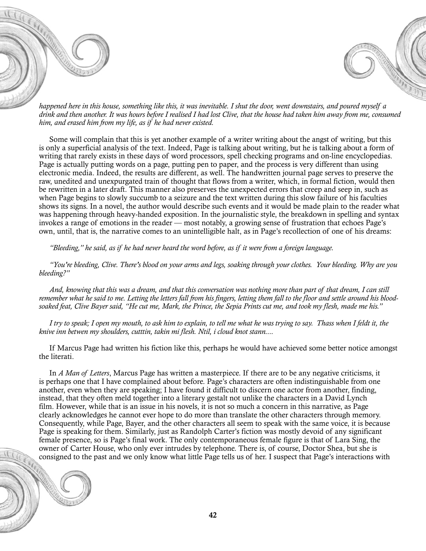



*happened here in this house, something like this, it was inevitable. I shut the door, went downstairs, and poured myself a drink and then another. It was hours before I realised I had lost Clive, that the house had taken him away from me, consumed him, and erased him from my life, as if he had never existed.* 

Some will complain that this is yet another example of a writer writing about the angst of writing, but this is only a superficial analysis of the text. Indeed, Page is talking about writing, but he is talking about a form of writing that rarely exists in these days of word processors, spell checking programs and on-line encyclopedias. Page is actually putting words on a page, putting pen to paper, and the process is very different than using electronic media. Indeed, the results are different, as well. The handwritten journal page serves to preserve the raw, unedited and unexpurgated train of thought that flows from a writer, which, in formal fiction, would then be rewritten in a later draft. This manner also preserves the unexpected errors that creep and seep in, such as when Page begins to slowly succumb to a seizure and the text written during this slow failure of his faculties shows its signs. In a novel, the author would describe such events and it would be made plain to the reader what was happening through heavy-handed exposition. In the journalistic style, the breakdown in spelling and syntax invokes a range of emotions in the reader — most notably, a growing sense of frustration that echoes Page's own, until, that is, the narrative comes to an unintelligible halt, as in Page's recollection of one of his dreams:

*"Bleeding," he said, as if he had never heard the word before, as if it were from a foreign language.* 

*"You're bleeding, Clive. There's blood on your arms and legs, soaking through your clothes. Your bleeding. Why are you bleeding?"* 

*And, knowing that this was a dream, and that this conversation was nothing more than part of that dream, I can still remember what he said to me. Letting the letters fall from his fingers, letting them fall to the floor and settle around his bloodsoaked feat, Clive Bayer said, "He cut me, Mark, the Prince, the Sepia Prints cut me, and took my flesh, made me his."* 

*I try to speak; I open my mouth, to ask him to explain, to tell me what he was trying to say. Thass when I feldt it, the knive inn betwen my shoulders, cutttin, takin mi flesh. Ntil, i cloud knot stann....*

If Marcus Page had written his fiction like this, perhaps he would have achieved some better notice amongst the literati.

In *A Man of Letters*, Marcus Page has written a masterpiece. If there are to be any negative criticisms, it is perhaps one that I have complained about before. Page's characters are often indistinguishable from one another, even when they are speaking; I have found it difficult to discern one actor from another, finding, instead, that they often meld together into a literary gestalt not unlike the characters in a David Lynch film. However, while that is an issue in his novels, it is not so much a concern in this narrative, as Page clearly acknowledges he cannot ever hope to do more than translate the other characters through memory. Consequently, while Page, Bayer, and the other characters all seem to speak with the same voice, it is because Page is speaking for them. Similarly, just as Randolph Carter's fiction was mostly devoid of any significant female presence, so is Page's final work. The only contemporaneous female figure is that of Lara Sing, the owner of Carter House, who only ever intrudes by telephone. There is, of course, Doctor Shea, but she is consigned to the past and we only know what little Page tells us of her. I suspect that Page's interactions with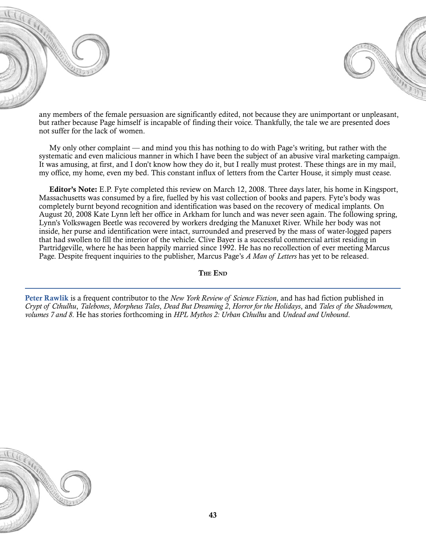



any members of the female persuasion are significantly edited, not because they are unimportant or unpleasant, but rather because Page himself is incapable of finding their voice. Thankfully, the tale we are presented does not suffer for the lack of women.

My only other complaint — and mind you this has nothing to do with Page's writing, but rather with the systematic and even malicious manner in which I have been the subject of an abusive viral marketing campaign. It was amusing, at first, and I don't know how they do it, but I really must protest. These things are in my mail, my office, my home, even my bed. This constant influx of letters from the Carter House, it simply must cease.

Editor's Note: E.P. Fyte completed this review on March 12, 2008. Three days later, his home in Kingsport, Massachusetts was consumed by a fire, fuelled by his vast collection of books and papers. Fyte's body was completely burnt beyond recognition and identification was based on the recovery of medical implants. On August 20, 2008 Kate Lynn left her office in Arkham for lunch and was never seen again. The following spring, Lynn's Volkswagen Beetle was recovered by workers dredging the Manuxet River. While her body was not inside, her purse and identification were intact, surrounded and preserved by the mass of water-logged papers that had swollen to fill the interior of the vehicle. Clive Bayer is a successful commercial artist residing in Partridgeville, where he has been happily married since 1992. He has no recollection of ever meeting Marcus Page. Despite frequent inquiries to the publisher, Marcus Page's *A Man of Letters* has yet to be released.

The End

Peter Rawlik is a frequent contributor to the *New York Review of Science Fiction*, and has had fiction published in *Crypt of Cthulhu*, *Talebones*, *Morpheus Tales*, *Dead But Dreaming 2*, *Horror for the Holidays*, and *Tales of the Shadowmen, volumes 7 and 8*. He has stories forthcoming in *HPL Mythos 2: Urban Cthulhu* and *Undead and Unbound*.

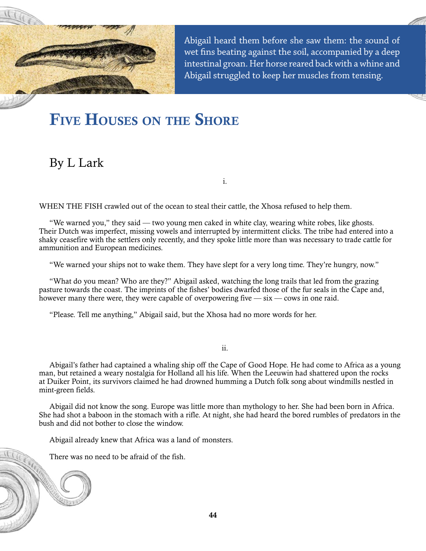<span id="page-44-0"></span>

Abigail heard them before she saw them: the sound of wet fins beating against the soil, accompanied by a deep intestinal groan. Her horse reared back with a whine and Abigail struggled to keep her muscles from tensing.

# FIVE HOUSES ON THE SHORE

### By L Lark

i.

WHEN THE FISH crawled out of the ocean to steal their cattle, the Xhosa refused to help them.

"We warned you," they said — two young men caked in white clay, wearing white robes, like ghosts. Their Dutch was imperfect, missing vowels and interrupted by intermittent clicks. The tribe had entered into a shaky ceasefire with the settlers only recently, and they spoke little more than was necessary to trade cattle for ammunition and European medicines.

"We warned your ships not to wake them. They have slept for a very long time. They're hungry, now."

"What do you mean? Who are they?" Abigail asked, watching the long trails that led from the grazing pasture towards the coast. The imprints of the fishes' bodies dwarfed those of the fur seals in the Cape and, however many there were, they were capable of overpowering five  $-\sin$  - cows in one raid.

"Please. Tell me anything," Abigail said, but the Xhosa had no more words for her.

ii.

Abigail's father had captained a whaling ship off the Cape of Good Hope. He had come to Africa as a young man, but retained a weary nostalgia for Holland all his life. When the Leeuwin had shattered upon the rocks at Duiker Point, its survivors claimed he had drowned humming a Dutch folk song about windmills nestled in mint-green fields.

Abigail did not know the song. Europe was little more than mythology to her. She had been born in Africa. She had shot a baboon in the stomach with a rifle. At night, she had heard the bored rumbles of predators in the bush and did not bother to close the window.

Abigail already knew that Africa was a land of monsters.

There was no need to be afraid of the fish.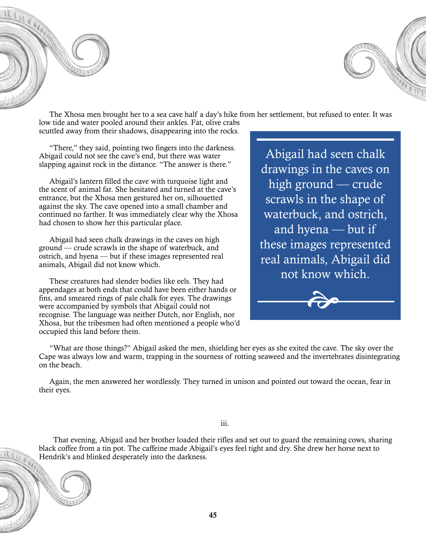



The Xhosa men brought her to a sea cave half a day's hike from her settlement, but refused to enter. It was

low tide and water pooled around their ankles. Fat, olive crabs scuttled away from their shadows, disappearing into the rocks.

"There," they said, pointing two fingers into the darkness. Abigail could not see the cave's end, but there was water slapping against rock in the distance. "The answer is there."

Abigail's lantern filled the cave with turquoise light and the scent of animal fat. She hesitated and turned at the cave's entrance, but the Xhosa men gestured her on, silhouetted against the sky. The cave opened into a small chamber and continued no farther. It was immediately clear why the Xhosa had chosen to show her this particular place.

Abigail had seen chalk drawings in the caves on high ground — crude scrawls in the shape of waterbuck, and ostrich, and hyena — but if these images represented real animals, Abigail did not know which.

These creatures had slender bodies like eels. They had appendages at both ends that could have been either hands or fins, and smeared rings of pale chalk for eyes. The drawings were accompanied by symbols that Abigail could not recognise. The language was neither Dutch, nor English, nor Xhosa, but the tribesmen had often mentioned a people who'd occupied this land before them.

Abigail had seen chalk drawings in the caves on high ground — crude scrawls in the shape of waterbuck, and ostrich, and hyena — but if these images represented real animals, Abigail did not know which.



"What are those things?" Abigail asked the men, shielding her eyes as she exited the cave. The sky over the Cape was always low and warm, trapping in the sourness of rotting seaweed and the invertebrates disintegrating on the beach.

Again, the men answered her wordlessly. They turned in unison and pointed out toward the ocean, fear in their eyes.

iii.

 That evening, Abigail and her brother loaded their rifles and set out to guard the remaining cows, sharing black coffee from a tin pot. The caffeine made Abigail's eyes feel tight and dry. She drew her horse next to Hendrik's and blinked desperately into the darkness.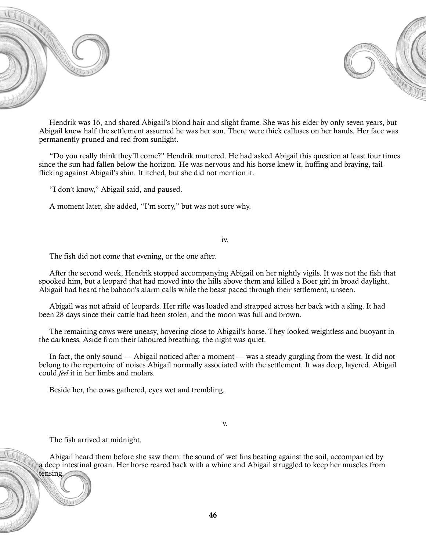



Hendrik was 16, and shared Abigail's blond hair and slight frame. She was his elder by only seven years, but Abigail knew half the settlement assumed he was her son. There were thick calluses on her hands. Her face was permanently pruned and red from sunlight.

"Do you really think they'll come?" Hendrik muttered. He had asked Abigail this question at least four times since the sun had fallen below the horizon. He was nervous and his horse knew it, huffing and braying, tail flicking against Abigail's shin. It itched, but she did not mention it.

"I don't know," Abigail said, and paused.

A moment later, she added, "I'm sorry," but was not sure why.

#### iv.

The fish did not come that evening, or the one after.

After the second week, Hendrik stopped accompanying Abigail on her nightly vigils. It was not the fish that spooked him, but a leopard that had moved into the hills above them and killed a Boer girl in broad daylight. Abigail had heard the baboon's alarm calls while the beast paced through their settlement, unseen.

Abigail was not afraid of leopards. Her rifle was loaded and strapped across her back with a sling. It had been 28 days since their cattle had been stolen, and the moon was full and brown.

The remaining cows were uneasy, hovering close to Abigail's horse. They looked weightless and buoyant in the darkness. Aside from their laboured breathing, the night was quiet.

In fact, the only sound — Abigail noticed after a moment — was a steady gurgling from the west. It did not belong to the repertoire of noises Abigail normally associated with the settlement. It was deep, layered. Abigail could *feel* it in her limbs and molars.

Beside her, the cows gathered, eyes wet and trembling.

The fish arrived at midnight.

Abigail heard them before she saw them: the sound of wet fins beating against the soil, accompanied by a deep intestinal groan. Her horse reared back with a whine and Abigail struggled to keep her muscles from tensing.

v.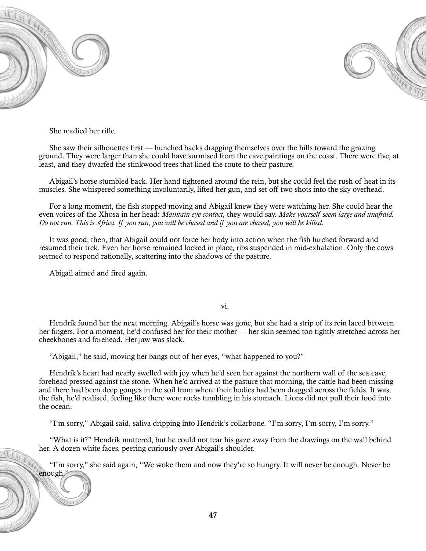

enough."



She readied her rifle.

She saw their silhouettes first — hunched backs dragging themselves over the hills toward the grazing ground. They were larger than she could have surmised from the cave paintings on the coast. There were five, at least, and they dwarfed the stinkwood trees that lined the route to their pasture.

Abigail's horse stumbled back. Her hand tightened around the rein, but she could feel the rush of heat in its muscles. She whispered something involuntarily, lifted her gun, and set off two shots into the sky overhead.

For a long moment, the fish stopped moving and Abigail knew they were watching her. She could hear the even voices of the Xhosa in her head: *Maintain eye contact,* they would say. *Make yourself seem large and unafraid. Do not run. This is Africa. If you run, you will be chased and if you are chased, you will be killed.*

It was good, then, that Abigail could not force her body into action when the fish lurched forward and resumed their trek. Even her horse remained locked in place, ribs suspended in mid-exhalation. Only the cows seemed to respond rationally, scattering into the shadows of the pasture.

Abigail aimed and fired again.

vi.

Hendrik found her the next morning. Abigail's horse was gone, but she had a strip of its rein laced between her fingers. For a moment, he'd confused her for their mother — her skin seemed too tightly stretched across her cheekbones and forehead. Her jaw was slack.

"Abigail," he said, moving her bangs out of her eyes, "what happened to you?"

Hendrik's heart had nearly swelled with joy when he'd seen her against the northern wall of the sea cave, forehead pressed against the stone. When he'd arrived at the pasture that morning, the cattle had been missing and there had been deep gouges in the soil from where their bodies had been dragged across the fields. It was the fish, he'd realised, feeling like there were rocks tumbling in his stomach. Lions did not pull their food into the ocean.

"I'm sorry," Abigail said, saliva dripping into Hendrik's collarbone. "I'm sorry, I'm sorry, I'm sorry."

"What is it?" Hendrik muttered, but he could not tear his gaze away from the drawings on the wall behind her. A dozen white faces, peering curiously over Abigail's shoulder.

"I'm sorry," she said again, "We woke them and now they're so hungry. It will never be enough. Never be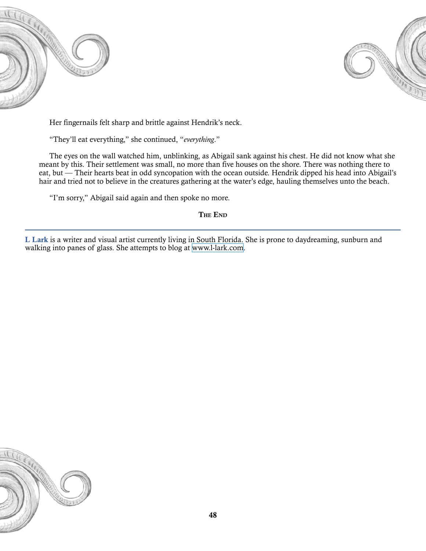



Her fingernails felt sharp and brittle against Hendrik's neck.

"They'll eat everything," she continued, "*everything*."

The eyes on the wall watched him, unblinking, as Abigail sank against his chest. He did not know what she meant by this. Their settlement was small, no more than five houses on the shore. There was nothing there to eat, but — Their hearts beat in odd syncopation with the ocean outside. Hendrik dipped his head into Abigail's hair and tried not to believe in the creatures gathering at the water's edge, hauling themselves unto the beach.

"I'm sorry," Abigail said again and then spoke no more.

The End

L Lark is a writer and visual artist currently living in South Florida. She is prone to daydreaming, sunburn and walking into panes of glass. She attempts to blog at [www.l-lark.com](http://www.l-lark.com).